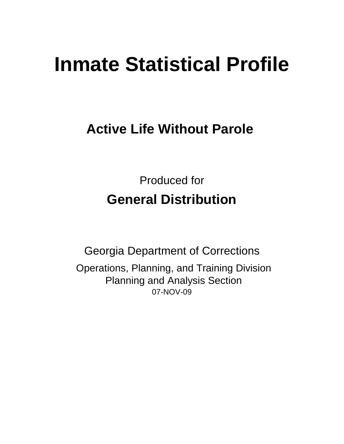# **Inmate Statistical Profile**

# **Active Life Without Parole**

Produced for **General Distribution**

07-NOV-09 Georgia Department of Corrections Operations, Planning, and Training Division Planning and Analysis Section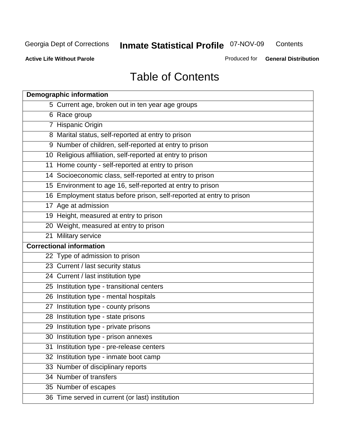**Contents** 

**Active Life Without Parole** 

Produced for **General Distribution**

# Table of Contents

| <b>Demographic information</b>                                       |
|----------------------------------------------------------------------|
| 5 Current age, broken out in ten year age groups                     |
| 6 Race group                                                         |
| 7 Hispanic Origin                                                    |
| 8 Marital status, self-reported at entry to prison                   |
| 9 Number of children, self-reported at entry to prison               |
| 10 Religious affiliation, self-reported at entry to prison           |
| 11 Home county - self-reported at entry to prison                    |
| 14 Socioeconomic class, self-reported at entry to prison             |
| 15 Environment to age 16, self-reported at entry to prison           |
| 16 Employment status before prison, self-reported at entry to prison |
| 17 Age at admission                                                  |
| 19 Height, measured at entry to prison                               |
| 20 Weight, measured at entry to prison                               |
| 21 Military service                                                  |
| <b>Correctional information</b>                                      |
| 22 Type of admission to prison                                       |
| 23 Current / last security status                                    |
| 24 Current / last institution type                                   |
| 25 Institution type - transitional centers                           |
| 26 Institution type - mental hospitals                               |
| 27 Institution type - county prisons                                 |
| 28 Institution type - state prisons                                  |
| 29 Institution type - private prisons                                |
| 30 Institution type - prison annexes                                 |
| 31 Institution type - pre-release centers                            |
| 32 Institution type - inmate boot camp                               |
| 33 Number of disciplinary reports                                    |
| 34 Number of transfers                                               |
| 35 Number of escapes                                                 |
| 36 Time served in current (or last) institution                      |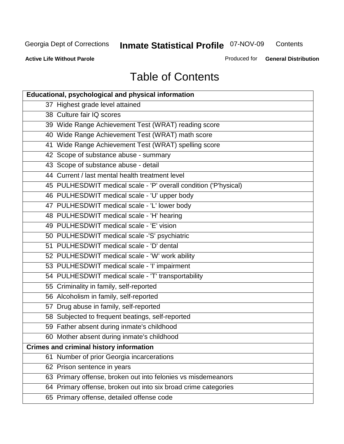**Contents** 

**Active Life Without Parole** 

Produced for **General Distribution**

# Table of Contents

| Educational, psychological and physical information              |
|------------------------------------------------------------------|
| 37 Highest grade level attained                                  |
| 38 Culture fair IQ scores                                        |
| 39 Wide Range Achievement Test (WRAT) reading score              |
| 40 Wide Range Achievement Test (WRAT) math score                 |
| 41 Wide Range Achievement Test (WRAT) spelling score             |
| 42 Scope of substance abuse - summary                            |
| 43 Scope of substance abuse - detail                             |
| 44 Current / last mental health treatment level                  |
| 45 PULHESDWIT medical scale - 'P' overall condition ('P'hysical) |
| 46 PULHESDWIT medical scale - 'U' upper body                     |
| 47 PULHESDWIT medical scale - 'L' lower body                     |
| 48 PULHESDWIT medical scale - 'H' hearing                        |
| 49 PULHESDWIT medical scale - 'E' vision                         |
| 50 PULHESDWIT medical scale -'S' psychiatric                     |
| 51 PULHESDWIT medical scale - 'D' dental                         |
| 52 PULHESDWIT medical scale - 'W' work ability                   |
| 53 PULHESDWIT medical scale - 'I' impairment                     |
| 54 PULHESDWIT medical scale - 'T' transportability               |
| 55 Criminality in family, self-reported                          |
| 56 Alcoholism in family, self-reported                           |
| 57 Drug abuse in family, self-reported                           |
| 58 Subjected to frequent beatings, self-reported                 |
| 59 Father absent during inmate's childhood                       |
| 60 Mother absent during inmate's childhood                       |
| <b>Crimes and criminal history information</b>                   |
| 61 Number of prior Georgia incarcerations                        |
| 62 Prison sentence in years                                      |
| 63 Primary offense, broken out into felonies vs misdemeanors     |
| 64 Primary offense, broken out into six broad crime categories   |
| 65 Primary offense, detailed offense code                        |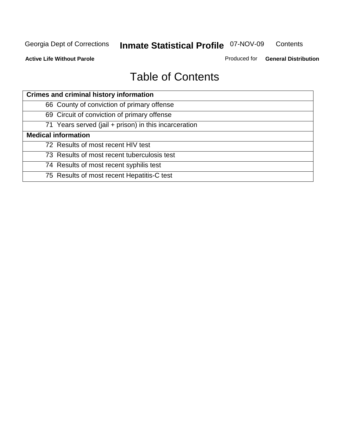**Contents** 

**Active Life Without Parole** 

Produced for **General Distribution**

# Table of Contents

| <b>Crimes and criminal history information</b>        |
|-------------------------------------------------------|
| 66 County of conviction of primary offense            |
| 69 Circuit of conviction of primary offense           |
| 71 Years served (jail + prison) in this incarceration |
| <b>Medical information</b>                            |
| 72 Results of most recent HIV test                    |
| 73 Results of most recent tuberculosis test           |
| 74 Results of most recent syphilis test               |
| 75 Results of most recent Hepatitis-C test            |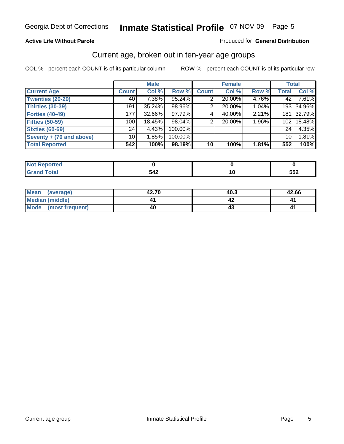#### **Active Life Without Parole**

#### Produced for **General Distribution**

### Current age, broken out in ten-year age groups

|                          |                 | <b>Male</b> |         |                 | <b>Female</b> |       | <b>Total</b>     |            |
|--------------------------|-----------------|-------------|---------|-----------------|---------------|-------|------------------|------------|
| <b>Current Age</b>       | <b>Count</b>    | Col %       | Row %   | <b>Count</b>    | Col %         | Row % | <b>Total</b>     | Col %      |
| <b>Twenties (20-29)</b>  | 40              | 7.38%       | 95.24%  |                 | 20.00%        | 4.76% | 42               | 7.61%      |
| <b>Thirties (30-39)</b>  | 191             | 35.24%      | 98.96%  | 2               | 20.00%        | 1.04% |                  | 193 34.96% |
| <b>Forties (40-49)</b>   | 177             | 32.66%      | 97.79%  | 4               | 40.00%        | 2.21% | 181              | 32.79%     |
| <b>Fifties (50-59)</b>   | 100             | 18.45%      | 98.04%  | 2               | 20.00%        | 1.96% | 102 <sub>1</sub> | 18.48%     |
| <b>Sixties (60-69)</b>   | 24 <sub>1</sub> | 4.43%       | 100.00% |                 |               |       | 24               | 4.35%      |
| Seventy + (70 and above) | 10              | 1.85%       | 100.00% |                 |               |       | 10 <sup>1</sup>  | 1.81%      |
| <b>Total Reported</b>    | 542             | 100%        | 98.19%  | 10 <sup>1</sup> | 100%          | 1.81% | 552              | 100%       |

| rtea<br>$\sim$<br>.                     |     |            |
|-----------------------------------------|-----|------------|
| $5 - 4 - 1$<br>υιαι<br>$\mathbf{v}$ and | 542 | よよつ<br>ບວ∠ |

| Mean<br>(average)    | 42.70 | 40.3 | 42.66 |
|----------------------|-------|------|-------|
| Median (middle)      |       |      |       |
| Mode (most frequent) | 40    |      |       |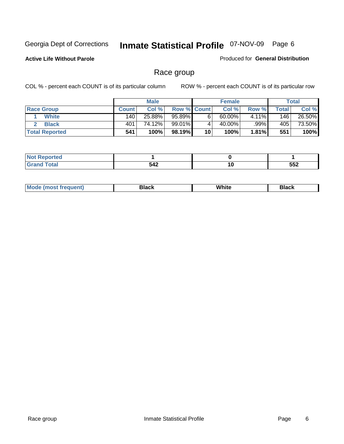**Active Life Without Parole** 

Produced for **General Distribution**

### Race group

|                       |              | <b>Male</b> |                    |    | <b>Female</b> |          |       | <b>Total</b> |
|-----------------------|--------------|-------------|--------------------|----|---------------|----------|-------|--------------|
| <b>Race Group</b>     | <b>Count</b> | Col %       | <b>Row % Count</b> |    | Col %         | Row %    | Total | Col %        |
| <b>White</b>          | 140          | 25.88%      | 95.89%             | 6  | $60.00\%$     | $4.11\%$ | 146   | 26.50%       |
| <b>Black</b>          | 401          | 74.12%      | 99.01%I            |    | 40.00%        | .99%     | 405   | 73.50%       |
| <b>Total Reported</b> | 541          | 100%        | 98.19%             | 10 | 100%          | 1.81%    | 551   | 100%         |

| eportea<br>$\sim$ |     |        |            |
|-------------------|-----|--------|------------|
|                   | 542 | $\sim$ | 552<br>◡◡▵ |

| $^1$ Mo. | Rlack | White | 3lack |
|----------|-------|-------|-------|
| .        |       |       |       |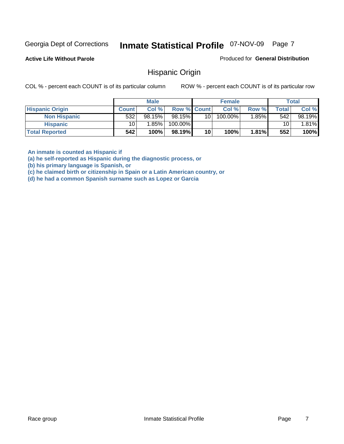**Active Life Without Parole** 

Produced for **General Distribution**

### Hispanic Origin

COL % - percent each COUNT is of its particular column ROW % - percent each COUNT is of its particular row

|                        |                 | <b>Male</b> |                    |      | <b>Female</b>         |       |       | <b>Total</b> |
|------------------------|-----------------|-------------|--------------------|------|-----------------------|-------|-------|--------------|
| <b>Hispanic Origin</b> | <b>Count</b>    | Col %       | <b>Row % Count</b> |      | Col %                 | Row % | Total | Col %        |
| <b>Non Hispanic</b>    | 532             | 98.15%      | 98.15%             | 10 I | $100.\overline{00\%}$ | 1.85% | 542   | 98.19%       |
| <b>Hispanic</b>        | 10 <sub>1</sub> | 1.85%       | 100.00%            |      |                       |       | 10    | .81%         |
| <b>Total Reported</b>  | 542             | 100%        | 98.19%             | 10   | 100%                  | 1.81% | 552   | 100%         |

**An inmate is counted as Hispanic if** 

**(a) he self-reported as Hispanic during the diagnostic process, or** 

**(b) his primary language is Spanish, or** 

**(c) he claimed birth or citizenship in Spain or a Latin American country, or** 

**(d) he had a common Spanish surname such as Lopez or Garcia**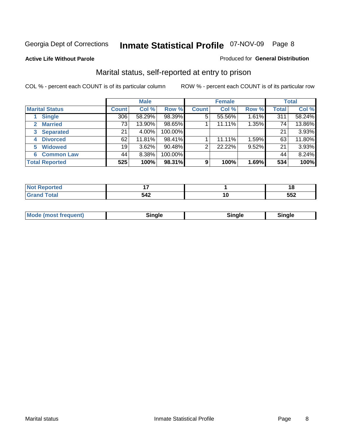#### **Active Life Without Parole**

#### Produced for **General Distribution**

### Marital status, self-reported at entry to prison

|                                | <b>Male</b>  |        |         | <b>Female</b>  |        |       | <b>Total</b> |        |
|--------------------------------|--------------|--------|---------|----------------|--------|-------|--------------|--------|
| <b>Marital Status</b>          | <b>Count</b> | Col %  | Row %   | <b>Count</b>   | Col %  | Row % | <b>Total</b> | Col %  |
| <b>Single</b>                  | 306          | 58.29% | 98.39%  | $\overline{5}$ | 55.56% | 1.61% | 311          | 58.24% |
| <b>Married</b><br>$\mathbf{2}$ | 73           | 13.90% | 98.65%  |                | 11.11% | 1.35% | 74           | 13.86% |
| <b>Separated</b><br>3          | 21           | 4.00%  | 100.00% |                |        |       | 21           | 3.93%  |
| <b>Divorced</b><br>4           | 62           | 11.81% | 98.41%  |                | 11.11% | 1.59% | 63           | 11.80% |
| <b>Widowed</b><br>5            | 19           | 3.62%  | 90.48%  | $\overline{2}$ | 22.22% | 9.52% | 21           | 3.93%  |
| <b>Common Law</b><br>6         | 44           | 8.38%  | 100.00% |                |        |       | 44           | 8.24%  |
| <b>Total Reported</b>          | 525          | 100%   | 98.31%  | 9              | 100%   | 1.69% | 534          | 100%   |

| _ |               |    | o<br>1 U |
|---|---------------|----|----------|
|   | ാ4∠           | ιu | --^      |
|   | $\sim$ $\sim$ |    | ◡◡▴      |

| <b>Mode (most frequent)</b><br>Sinale<br>≒ınale |
|-------------------------------------------------|
|-------------------------------------------------|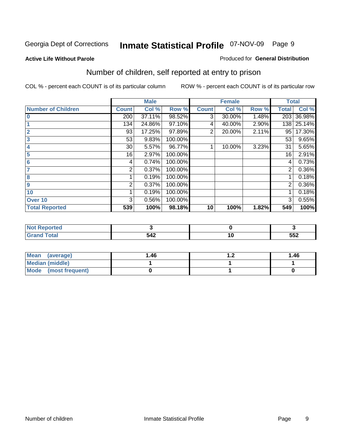#### **Active Life Without Parole**

#### Produced for **General Distribution**

### Number of children, self reported at entry to prison

|                           |                | <b>Male</b> |         |              | <b>Female</b> |       |                | <b>Total</b> |
|---------------------------|----------------|-------------|---------|--------------|---------------|-------|----------------|--------------|
| <b>Number of Children</b> | <b>Count</b>   | Col %       | Row %   | <b>Count</b> | Col %         | Row % | <b>Total</b>   | Col %        |
| $\bf{0}$                  | 200            | 37.11%      | 98.52%  | 3            | 30.00%        | 1.48% | 203            | 36.98%       |
|                           | 134            | 24.86%      | 97.10%  | 4            | 40.00%        | 2.90% | 138            | 25.14%       |
| $\overline{2}$            | 93             | 17.25%      | 97.89%  | 2            | 20.00%        | 2.11% | 95             | 17.30%       |
| 3                         | 53             | 9.83%       | 100.00% |              |               |       | 53             | 9.65%        |
| 4                         | 30             | 5.57%       | 96.77%  |              | 10.00%        | 3.23% | 31             | 5.65%        |
| 5                         | 16             | 2.97%       | 100.00% |              |               |       | 16             | 2.91%        |
| $6\phantom{a}$            | 4              | 0.74%       | 100.00% |              |               |       | 4              | 0.73%        |
| 7                         | 2              | 0.37%       | 100.00% |              |               |       | 2              | 0.36%        |
| 8                         |                | 0.19%       | 100.00% |              |               |       |                | 0.18%        |
| 9                         | $\overline{2}$ | 0.37%       | 100.00% |              |               |       | $\overline{2}$ | 0.36%        |
| 10                        |                | 0.19%       | 100.00% |              |               |       |                | 0.18%        |
| Over 10                   | 3              | 0.56%       | 100.00% |              |               |       | 3              | 0.55%        |
| <b>Total Reported</b>     | 539            | 100%        | 98.18%  | 10           | 100%          | 1.82% | 549            | 100%         |

| nrteu       |      |     |      |
|-------------|------|-----|------|
| <b>otal</b> | -540 | . . | EEO  |
| $\sim$      | ◡᠇▵  |     | ິບບ∠ |

| Mean<br>(average)       | 1.46 | . | 1.46 |
|-------------------------|------|---|------|
| <b>Median (middle)</b>  |      |   |      |
| Mode<br>(most frequent) |      |   |      |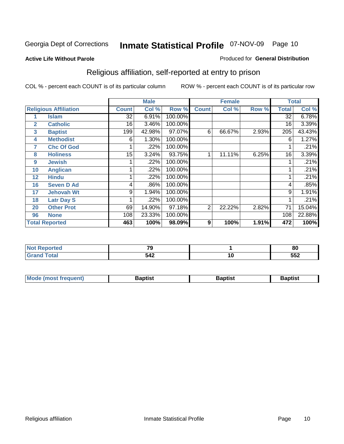#### **Active Life Without Parole**

#### Produced for **General Distribution**

### Religious affiliation, self-reported at entry to prison

|              |                              |                 | <b>Male</b> |         |                | <b>Female</b> |       |              | <b>Total</b> |
|--------------|------------------------------|-----------------|-------------|---------|----------------|---------------|-------|--------------|--------------|
|              | <b>Religious Affiliation</b> | <b>Count</b>    | Col %       | Row %   | <b>Count</b>   | Col %         | Row % | <b>Total</b> | Col %        |
|              | <b>Islam</b>                 | $\overline{32}$ | 6.91%       | 100.00% |                |               |       | 32           | 6.78%        |
| $\mathbf{2}$ | <b>Catholic</b>              | 16              | 3.46%       | 100.00% |                |               |       | 16           | 3.39%        |
| 3            | <b>Baptist</b>               | 199             | 42.98%      | 97.07%  | 6              | 66.67%        | 2.93% | 205          | 43.43%       |
| 4            | <b>Methodist</b>             | 6               | 1.30%       | 100.00% |                |               |       | 6            | 1.27%        |
| 7            | <b>Chc Of God</b>            |                 | .22%        | 100.00% |                |               |       |              | .21%         |
| 8            | <b>Holiness</b>              | 15              | 3.24%       | 93.75%  |                | 11.11%        | 6.25% | 16           | 3.39%        |
| 9            | <b>Jewish</b>                |                 | .22%        | 100.00% |                |               |       |              | .21%         |
| 10           | <b>Anglican</b>              |                 | .22%        | 100.00% |                |               |       |              | .21%         |
| 12           | <b>Hindu</b>                 |                 | .22%        | 100.00% |                |               |       |              | .21%         |
| 16           | <b>Seven D Ad</b>            | 4               | .86%        | 100.00% |                |               |       | 4            | .85%         |
| 17           | <b>Jehovah Wt</b>            | 9               | 1.94%       | 100.00% |                |               |       | 9            | 1.91%        |
| 18           | <b>Latr Day S</b>            |                 | .22%        | 100.00% |                |               |       |              | .21%         |
| 20           | <b>Other Prot</b>            | 69              | 14.90%      | 97.18%  | $\overline{2}$ | 22.22%        | 2.82% | 71           | 15.04%       |
| 96           | <b>None</b>                  | 108             | 23.33%      | 100.00% |                |               |       | 108          | 22.88%       |
|              | <b>Total Reported</b>        | 463             | 100%        | 98.09%  | 9              | 100%          | 1.91% | 472          | 100%         |

| n ir teur<br>$\sim$ | $\sim$          |    | 80  |
|---------------------|-----------------|----|-----|
| .                   | <b>-10</b><br>ᇬ | ιv | 552 |

| <b>Mode (most frequent)</b> | Baptist | Baptist | Baptist |
|-----------------------------|---------|---------|---------|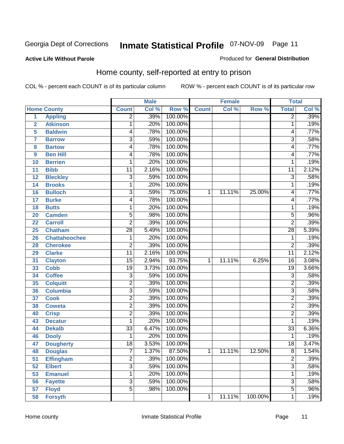Produced for **General Distribution**

#### **Active Life Without Parole**

### Home county, self-reported at entry to prison

|                |                      |                 | <b>Male</b> |         |              | <b>Female</b> |         | <b>Total</b>    |       |
|----------------|----------------------|-----------------|-------------|---------|--------------|---------------|---------|-----------------|-------|
|                | <b>Home County</b>   | <b>Count</b>    | Col %       | Row %   | <b>Count</b> | Col %         | Row %   | <b>Total</b>    | Col % |
| $\overline{1}$ | <b>Appling</b>       | $\overline{2}$  | .39%        | 100.00% |              |               |         | $\overline{2}$  | .39%  |
| $\overline{2}$ | <b>Atkinson</b>      | 1               | .20%        | 100.00% |              |               |         | 1               | .19%  |
| 5              | <b>Baldwin</b>       | 4               | .78%        | 100.00% |              |               |         | 4               | .77%  |
| 7              | <b>Barrow</b>        | $\overline{3}$  | .59%        | 100.00% |              |               |         | 3               | .58%  |
| 8              | <b>Bartow</b>        | 4               | .78%        | 100.00% |              |               |         | 4               | .77%  |
| 9              | <b>Ben Hill</b>      | 4               | .78%        | 100.00% |              |               |         | 4               | .77%  |
| 10             | <b>Berrien</b>       | 1               | .20%        | 100.00% |              |               |         | 1               | .19%  |
| 11             | <b>Bibb</b>          | 11              | 2.16%       | 100.00% |              |               |         | 11              | 2.12% |
| 12             | <b>Bleckley</b>      | $\overline{3}$  | .59%        | 100.00% |              |               |         | $\overline{3}$  | .58%  |
| 14             | <b>Brooks</b>        | 1               | .20%        | 100.00% |              |               |         | 1               | .19%  |
| 16             | <b>Bulloch</b>       | $\overline{3}$  | .59%        | 75.00%  | 1            | 11.11%        | 25.00%  | 4               | .77%  |
| 17             | <b>Burke</b>         | 4               | .78%        | 100.00% |              |               |         | 4               | .77%  |
| 18             | <b>Butts</b>         | 1               | .20%        | 100.00% |              |               |         | 1               | .19%  |
| 20             | <b>Camden</b>        | $\overline{5}$  | .98%        | 100.00% |              |               |         | $\overline{5}$  | .96%  |
| 22             | <b>Carroll</b>       | $\overline{2}$  | .39%        | 100.00% |              |               |         | $\overline{2}$  | .39%  |
| 25             | <b>Chatham</b>       | $\overline{28}$ | 5.49%       | 100.00% |              |               |         | 28              | 5.39% |
| 26             | <b>Chattahoochee</b> | 1               | .20%        | 100.00% |              |               |         | 1               | .19%  |
| 28             | <b>Cherokee</b>      | $\overline{2}$  | .39%        | 100.00% |              |               |         | $\overline{2}$  | .39%  |
| 29             | <b>Clarke</b>        | $\overline{11}$ | 2.16%       | 100.00% |              |               |         | 11              | 2.12% |
| 31             | <b>Clayton</b>       | $\overline{15}$ | 2.94%       | 93.75%  | 1            | 11.11%        | 6.25%   | 16              | 3.08% |
| 33             | <b>Cobb</b>          | $\overline{19}$ | 3.73%       | 100.00% |              |               |         | $\overline{19}$ | 3.66% |
| 34             | <b>Coffee</b>        | 3               | .59%        | 100.00% |              |               |         | 3               | .58%  |
| 35             | <b>Colquitt</b>      | $\overline{2}$  | .39%        | 100.00% |              |               |         | $\overline{2}$  | .39%  |
| 36             | <b>Columbia</b>      | $\overline{3}$  | .59%        | 100.00% |              |               |         | $\overline{3}$  | .58%  |
| 37             | <b>Cook</b>          | $\overline{2}$  | .39%        | 100.00% |              |               |         | $\overline{2}$  | .39%  |
| 38             | <b>Coweta</b>        | $\overline{2}$  | .39%        | 100.00% |              |               |         | $\overline{2}$  | .39%  |
| 40             | <b>Crisp</b>         | $\overline{2}$  | .39%        | 100.00% |              |               |         | $\overline{2}$  | .39%  |
| 43             | <b>Decatur</b>       | 1               | .20%        | 100.00% |              |               |         | 1               | .19%  |
| 44             | <b>Dekalb</b>        | $\overline{33}$ | 6.47%       | 100.00% |              |               |         | $\overline{33}$ | 6.36% |
| 46             | <b>Dooly</b>         | 1               | .20%        | 100.00% |              |               |         | 1               | .19%  |
| 47             | <b>Dougherty</b>     | $\overline{18}$ | 3.53%       | 100.00% |              |               |         | 18              | 3.47% |
| 48             | <b>Douglas</b>       | 7               | 1.37%       | 87.50%  | 1            | 11.11%        | 12.50%  | 8               | 1.54% |
| 51             | <b>Effingham</b>     | $\overline{2}$  | .39%        | 100.00% |              |               |         | $\overline{2}$  | .39%  |
| 52             | <b>Elbert</b>        | $\overline{3}$  | .59%        | 100.00% |              |               |         | $\overline{3}$  | .58%  |
| 53             | <b>Emanuel</b>       | 1               | .20%        | 100.00% |              |               |         | 1               | .19%  |
| 56             | <b>Fayette</b>       | $\overline{3}$  | .59%        | 100.00% |              |               |         | $\overline{3}$  | .58%  |
| 57             | <b>Floyd</b>         | $\overline{5}$  | .98%        | 100.00% |              |               |         | $\overline{5}$  | .96%  |
| 58             | <b>Forsyth</b>       |                 |             |         | 1            | 11.11%        | 100.00% | 1               | .19%  |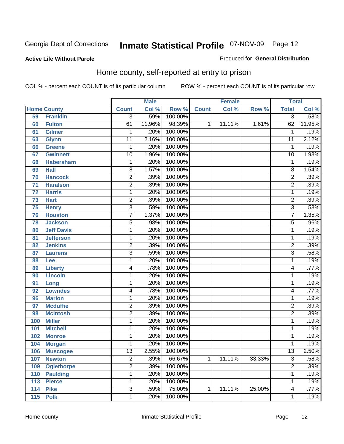#### **Active Life Without Parole**

#### Produced for **General Distribution**

### Home county, self-reported at entry to prison

|                 |                    |                         | <b>Male</b> |         |              | <b>Female</b> |        | <b>Total</b>    |        |
|-----------------|--------------------|-------------------------|-------------|---------|--------------|---------------|--------|-----------------|--------|
|                 | <b>Home County</b> | <b>Count</b>            | Col %       | Row %   | <b>Count</b> | Col %         | Row %  | <b>Total</b>    | Col %  |
| 59              | <b>Franklin</b>    | $\overline{3}$          | .59%        | 100.00% |              |               |        | $\overline{3}$  | .58%   |
| 60              | <b>Fulton</b>      | 61                      | 11.96%      | 98.39%  | $\mathbf{1}$ | 11.11%        | 1.61%  | 62              | 11.95% |
| 61              | <b>Gilmer</b>      | 1                       | .20%        | 100.00% |              |               |        | 1               | .19%   |
| 63              | <b>Glynn</b>       | $\overline{11}$         | 2.16%       | 100.00% |              |               |        | 11              | 2.12%  |
| 66              | <b>Greene</b>      | $\mathbf 1$             | .20%        | 100.00% |              |               |        | 1               | .19%   |
| 67              | <b>Gwinnett</b>    | 10                      | 1.96%       | 100.00% |              |               |        | $\overline{10}$ | 1.93%  |
| 68              | <b>Habersham</b>   | $\mathbf 1$             | .20%        | 100.00% |              |               |        | $\mathbf 1$     | .19%   |
| 69              | <b>Hall</b>        | $\overline{8}$          | 1.57%       | 100.00% |              |               |        | 8               | 1.54%  |
| 70              | <b>Hancock</b>     | $\overline{\mathbf{c}}$ | .39%        | 100.00% |              |               |        | 2               | .39%   |
| 71              | <b>Haralson</b>    | $\overline{2}$          | .39%        | 100.00% |              |               |        | $\overline{2}$  | .39%   |
| 72              | <b>Harris</b>      | 1                       | .20%        | 100.00% |              |               |        | 1               | .19%   |
| 73              | <b>Hart</b>        | $\overline{2}$          | .39%        | 100.00% |              |               |        | $\overline{2}$  | .39%   |
| $\overline{75}$ | <b>Henry</b>       | $\overline{3}$          | .59%        | 100.00% |              |               |        | $\overline{3}$  | .58%   |
| 76              | <b>Houston</b>     | $\overline{7}$          | 1.37%       | 100.00% |              |               |        | $\overline{7}$  | 1.35%  |
| 78              | <b>Jackson</b>     | $\overline{5}$          | .98%        | 100.00% |              |               |        | $\overline{5}$  | .96%   |
| 80              | <b>Jeff Davis</b>  | 1                       | .20%        | 100.00% |              |               |        | 1               | .19%   |
| 81              | <b>Jefferson</b>   | 1                       | .20%        | 100.00% |              |               |        | 1               | .19%   |
| 82              | <b>Jenkins</b>     | $\overline{2}$          | .39%        | 100.00% |              |               |        | $\overline{2}$  | .39%   |
| 87              | <b>Laurens</b>     | $\overline{3}$          | .59%        | 100.00% |              |               |        | $\overline{3}$  | .58%   |
| 88              | Lee                | 1                       | .20%        | 100.00% |              |               |        | 1               | .19%   |
| 89              | <b>Liberty</b>     | 4                       | .78%        | 100.00% |              |               |        | 4               | .77%   |
| 90              | <b>Lincoln</b>     | 1                       | .20%        | 100.00% |              |               |        | 1               | .19%   |
| 91              | Long               | 1                       | .20%        | 100.00% |              |               |        | 1               | .19%   |
| 92              | <b>Lowndes</b>     | 4                       | .78%        | 100.00% |              |               |        | 4               | .77%   |
| 96              | <b>Marion</b>      | 1                       | .20%        | 100.00% |              |               |        | 1               | .19%   |
| 97              | <b>Mcduffie</b>    | 2                       | .39%        | 100.00% |              |               |        | $\overline{2}$  | .39%   |
| 98              | <b>Mcintosh</b>    | $\overline{2}$          | .39%        | 100.00% |              |               |        | $\overline{2}$  | .39%   |
| 100             | <b>Miller</b>      | 1                       | .20%        | 100.00% |              |               |        | 1               | .19%   |
| 101             | <b>Mitchell</b>    | 1                       | .20%        | 100.00% |              |               |        | 1               | .19%   |
| 102             | <b>Monroe</b>      | 1                       | .20%        | 100.00% |              |               |        | 1               | .19%   |
| 104             | <b>Morgan</b>      | 1                       | .20%        | 100.00% |              |               |        | 1               | .19%   |
| 106             | <b>Muscogee</b>    | 13                      | 2.55%       | 100.00% |              |               |        | 13              | 2.50%  |
| 107             | <b>Newton</b>      | $\overline{2}$          | .39%        | 66.67%  | $\mathbf{1}$ | 11.11%        | 33.33% | $\overline{3}$  | .58%   |
| 109             | <b>Oglethorpe</b>  | $\overline{2}$          | .39%        | 100.00% |              |               |        | $\overline{2}$  | .39%   |
| 110             | <b>Paulding</b>    | 1                       | .20%        | 100.00% |              |               |        | 1               | .19%   |
| 113             | <b>Pierce</b>      | 1                       | .20%        | 100.00% |              |               |        | 1               | .19%   |
| 114             | <b>Pike</b>        | $\overline{3}$          | .59%        | 75.00%  | 1            | 11.11%        | 25.00% | 4               | .77%   |
| 115             | <b>Polk</b>        | 1                       | .20%        | 100.00% |              |               |        | 1               | .19%   |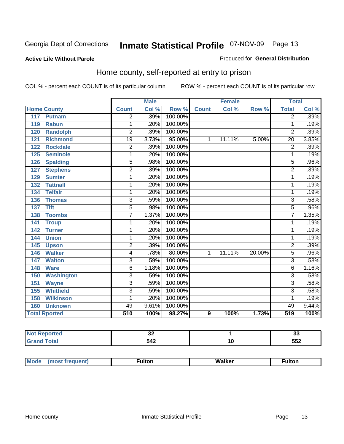#### **Active Life Without Parole**

#### Produced for **General Distribution**

### Home county, self-reported at entry to prison

|                          |                 | <b>Male</b> |         |                  | <b>Female</b> |        | <b>Total</b>    |       |
|--------------------------|-----------------|-------------|---------|------------------|---------------|--------|-----------------|-------|
| <b>Home County</b>       | <b>Count</b>    | Col %       | Row %   | <b>Count</b>     | Col %         | Row %  | <b>Total</b>    | Col % |
| 117<br><b>Putnam</b>     | $\overline{2}$  | .39%        | 100.00% |                  |               |        | $\overline{2}$  | .39%  |
| <b>Rabun</b><br>119      | 1               | .20%        | 100.00% |                  |               |        | 1               | .19%  |
| <b>Randolph</b><br>120   | $\overline{2}$  | .39%        | 100.00% |                  |               |        | $\overline{2}$  | .39%  |
| <b>Richmond</b><br>121   | $\overline{19}$ | 3.73%       | 95.00%  | 1                | 11.11%        | 5.00%  | $\overline{20}$ | 3.85% |
| 122<br><b>Rockdale</b>   | $\overline{2}$  | .39%        | 100.00% |                  |               |        | $\overline{2}$  | .39%  |
| <b>Seminole</b><br>125   | 1               | .20%        | 100.00% |                  |               |        | 1               | .19%  |
| <b>Spalding</b><br>126   | $\overline{5}$  | .98%        | 100.00% |                  |               |        | $\overline{5}$  | .96%  |
| 127<br><b>Stephens</b>   | $\overline{2}$  | .39%        | 100.00% |                  |               |        | $\overline{2}$  | .39%  |
| <b>Sumter</b><br>129     | 1               | .20%        | 100.00% |                  |               |        | 1               | .19%  |
| <b>Tattnall</b><br>132   | 1               | .20%        | 100.00% |                  |               |        | 1               | .19%  |
| <b>Telfair</b><br>134    | 1               | .20%        | 100.00% |                  |               |        | 1               | .19%  |
| <b>Thomas</b><br>136     | 3               | .59%        | 100.00% |                  |               |        | 3               | .58%  |
| <b>Tift</b><br>137       | 5               | .98%        | 100.00% |                  |               |        | 5               | .96%  |
| <b>Toombs</b><br>138     | $\overline{7}$  | 1.37%       | 100.00% |                  |               |        | $\overline{7}$  | 1.35% |
| 141<br><b>Troup</b>      | 1               | .20%        | 100.00% |                  |               |        | 1               | .19%  |
| 142<br><b>Turner</b>     | 1               | .20%        | 100.00% |                  |               |        | 1               | .19%  |
| <b>Union</b><br>144      | 1               | .20%        | 100.00% |                  |               |        | 1               | .19%  |
| 145<br><b>Upson</b>      | $\overline{2}$  | .39%        | 100.00% |                  |               |        | $\overline{2}$  | .39%  |
| <b>Walker</b><br>146     | 4               | .78%        | 80.00%  | 1                | 11.11%        | 20.00% | $\overline{5}$  | .96%  |
| <b>Walton</b><br>147     | 3               | .59%        | 100.00% |                  |               |        | 3               | .58%  |
| 148<br><b>Ware</b>       | 6               | 1.18%       | 100.00% |                  |               |        | 6               | 1.16% |
| <b>Washington</b><br>150 | $\overline{3}$  | .59%        | 100.00% |                  |               |        | $\overline{3}$  | .58%  |
| 151<br><b>Wayne</b>      | $\overline{3}$  | .59%        | 100.00% |                  |               |        | $\overline{3}$  | .58%  |
| <b>Whitfield</b><br>155  | $\overline{3}$  | .59%        | 100.00% |                  |               |        | $\overline{3}$  | .58%  |
| <b>Wilkinson</b><br>158  | 1               | .20%        | 100.00% |                  |               |        | 1               | .19%  |
| <b>Unknown</b><br>160    | 49              | 9.61%       | 100.00% |                  |               |        | 49              | 9.44% |
| <b>Total Rported</b>     | 510             | 100%        | 98.27%  | $\boldsymbol{9}$ | 100%          | 1.73%  | 519             | 100%  |

| тео   | uľ  |    | n.<br>JJ. |
|-------|-----|----|-----------|
| 'ota. | 542 | ιu | 552       |

| Mo | . .<br>7 | w<br>-------- | יוט.<br>- ------- |
|----|----------|---------------|-------------------|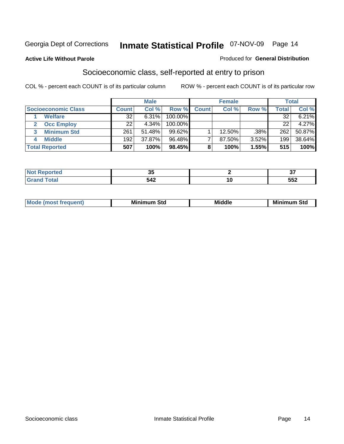#### **Active Life Without Parole**

#### Produced for **General Distribution**

### Socioeconomic class, self-reported at entry to prison

|                            |       | <b>Male</b> |            |              | <b>Female</b> |       |       | <b>Total</b> |
|----------------------------|-------|-------------|------------|--------------|---------------|-------|-------|--------------|
| <b>Socioeconomic Class</b> | Count | Col %       | Row %      | <b>Count</b> | Col %         | Row % | Total | Col %        |
| <b>Welfare</b>             | 32    | 6.31%       | $100.00\%$ |              |               |       | 32    | 6.21%        |
| <b>Occ Employ</b>          | 22    | 4.34%       | $100.00\%$ |              |               |       | 22    | $4.27\%$     |
| <b>Minimum Std</b>         | 261   | 51.48%      | 99.62%     |              | 12.50%        | .38%  | 262   | 50.87%       |
| <b>Middle</b>              | 192   | 37.87%      | 96.48%     |              | 87.50%        | 3.52% | 199   | 38.64%       |
| <b>Total Reported</b>      | 507   | 100%        | 98.45%     |              | 100%          | 1.55% | 515   | 100%         |

| ч           | - -<br>v. | $\sim$ $\sim$<br>. . |
|-------------|-----------|----------------------|
| $C = 4 - 7$ | 542       | FFA<br>JJZ           |

| M<br>Mir<br>Mi<br><b>Middle</b><br><b>C</b> ta<br>Sta<br>oτu<br>.<br>the contract of the contract of the contract of the contract of the contract of the contract of the contract of<br>- - - - |
|-------------------------------------------------------------------------------------------------------------------------------------------------------------------------------------------------|
|-------------------------------------------------------------------------------------------------------------------------------------------------------------------------------------------------|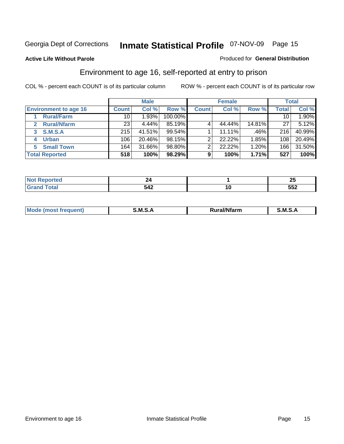#### **Active Life Without Parole**

#### Produced for **General Distribution**

### Environment to age 16, self-reported at entry to prison

|                                    |              | <b>Male</b> |         |              | <b>Female</b> |        |              | <b>Total</b> |
|------------------------------------|--------------|-------------|---------|--------------|---------------|--------|--------------|--------------|
| <b>Environment to age 16</b>       | <b>Count</b> | Col %       | Row %   | <b>Count</b> | Col %         | Row %  | <b>Total</b> | Col %        |
| <b>Rural/Farm</b>                  | 10           | 1.93%       | 100.00% |              |               |        | 10           | $1.90\%$     |
| <b>Rural/Nfarm</b><br>$\mathbf{2}$ | 23           | 4.44%       | 85.19%  |              | 44.44%        | 14.81% | 27           | 5.12%        |
| <b>S.M.S.A</b><br>3                | 215          | 41.51%      | 99.54%  |              | 11.11%        | .46%   | 216          | 40.99%       |
| <b>Urban</b><br>4                  | 106          | 20.46%      | 98.15%  |              | 22.22%        | 1.85%  | 108          | 20.49%       |
| <b>Small Town</b><br>5             | 164          | 31.66%      | 98.80%  | ◠            | 22.22%        | 1.20%  | 166          | 31.50%       |
| <b>Total Reported</b>              | 518          | 100%        | 98.29%  | 9            | 100%          | 1.71%  | 527          | 100%         |

| rted                  |          |    | $\sim$ $\sim$<br>-- |
|-----------------------|----------|----|---------------------|
| <b>Total</b><br>Grand | 542<br>ᇬ | 10 | 552                 |

| Mo<br><b>CONTRACTOR</b><br>. M S<br>M<br>---<br>Nfarn<br>.<br>______<br>______ |  |  |
|--------------------------------------------------------------------------------|--|--|
|                                                                                |  |  |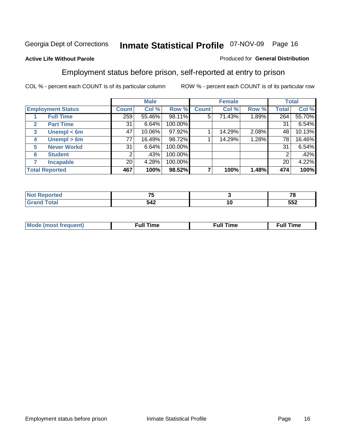#### **Active Life Without Parole**

#### Produced for **General Distribution**

### Employment status before prison, self-reported at entry to prison

|              |                          |              | <b>Male</b> |         |              | <b>Female</b> |       |              | <b>Total</b> |
|--------------|--------------------------|--------------|-------------|---------|--------------|---------------|-------|--------------|--------------|
|              | <b>Employment Status</b> | <b>Count</b> | Col %       | Row %   | <b>Count</b> | Col %         | Row % | <b>Total</b> | Col %        |
|              | <b>Full Time</b>         | 259          | 55.46%      | 98.11%  | 5            | 71.43%        | 1.89% | 264          | 55.70%       |
| $\mathbf{2}$ | <b>Part Time</b>         | 31           | 6.64%       | 100.00% |              |               |       | 31           | 6.54%        |
| 3            | Unempl $<$ 6m            | 47           | 10.06%      | 97.92%  |              | 14.29%        | 2.08% | 48           | 10.13%       |
| 4            | Unempl $> 6m$            | 77           | 16.49%      | 98.72%  |              | 14.29%        | 1.28% | 78           | 16.46%       |
| 5            | <b>Never Workd</b>       | 31           | 6.64%       | 100.00% |              |               |       | 31           | 6.54%        |
| 6            | <b>Student</b>           | 2            | .43%        | 100.00% |              |               |       | 2            | .42%         |
|              | <b>Incapable</b>         | 20           | 4.28%       | 100.00% |              |               |       | 20           | 4.22%        |
|              | <b>Total Reported</b>    | 467          | 100%        | 98.52%  |              | 100%          | 1.48% | 474          | 100%         |

| тес.    | --<br>. . |        | 70  |
|---------|-----------|--------|-----|
| イーエーテ   | 542       | ΊU     | ににつ |
| _______ |           | $\sim$ | ◡◡▵ |

| Mo | 'me<br>uн<br>the contract of the contract of the contract of the contract of the contract of the contract of the contract of | ïme<br>uı.<br>the contract of the contract of the contract of the contract of the contract of the contract of the contract of the contract of the contract of the contract of the contract of the contract of the contract of the contract o |
|----|------------------------------------------------------------------------------------------------------------------------------|----------------------------------------------------------------------------------------------------------------------------------------------------------------------------------------------------------------------------------------------|
|    |                                                                                                                              |                                                                                                                                                                                                                                              |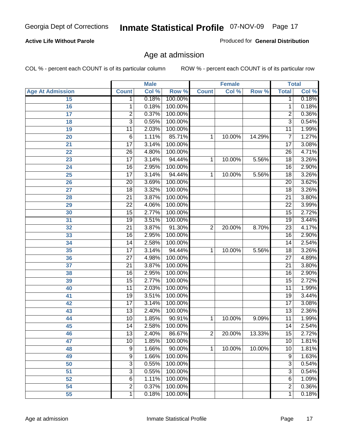#### **Active Life Without Parole**

Produced for **General Distribution**

### Age at admission

|                         |                 | <b>Male</b> |         |                | <b>Female</b> |        |                         | <b>Total</b> |
|-------------------------|-----------------|-------------|---------|----------------|---------------|--------|-------------------------|--------------|
| <b>Age At Admission</b> | <b>Count</b>    | Col %       | Row %   | <b>Count</b>   | Col %         | Row %  | <b>Total</b>            | Col %        |
| 15                      | 1               | 0.18%       | 100.00% |                |               |        | 1                       | 0.18%        |
| 16                      | 1               | 0.18%       | 100.00% |                |               |        | 1                       | 0.18%        |
| 17                      | $\overline{2}$  | 0.37%       | 100.00% |                |               |        | $\overline{2}$          | 0.36%        |
| 18                      | $\overline{3}$  | 0.55%       | 100.00% |                |               |        | $\overline{\mathbf{3}}$ | 0.54%        |
| 19                      | 11              | 2.03%       | 100.00% |                |               |        | 11                      | 1.99%        |
| 20                      | 6               | 1.11%       | 85.71%  | 1              | 10.00%        | 14.29% | 7                       | 1.27%        |
| 21                      | $\overline{17}$ | 3.14%       | 100.00% |                |               |        | $\overline{17}$         | 3.08%        |
| 22                      | $\overline{26}$ | 4.80%       | 100.00% |                |               |        | $\overline{26}$         | 4.71%        |
| 23                      | $\overline{17}$ | 3.14%       | 94.44%  | 1              | 10.00%        | 5.56%  | 18                      | 3.26%        |
| 24                      | 16              | 2.95%       | 100.00% |                |               |        | 16                      | 2.90%        |
| 25                      | $\overline{17}$ | 3.14%       | 94.44%  | 1              | 10.00%        | 5.56%  | 18                      | 3.26%        |
| 26                      | $\overline{20}$ | 3.69%       | 100.00% |                |               |        | $\overline{20}$         | 3.62%        |
| 27                      | $\overline{18}$ | 3.32%       | 100.00% |                |               |        | 18                      | 3.26%        |
| 28                      | $\overline{21}$ | 3.87%       | 100.00% |                |               |        | $\overline{21}$         | 3.80%        |
| 29                      | $\overline{22}$ | 4.06%       | 100.00% |                |               |        | $\overline{22}$         | 3.99%        |
| 30                      | $\overline{15}$ | 2.77%       | 100.00% |                |               |        | $\overline{15}$         | 2.72%        |
| 31                      | $\overline{19}$ | 3.51%       | 100.00% |                |               |        | 19                      | 3.44%        |
| 32                      | $\overline{21}$ | 3.87%       | 91.30%  | $\overline{2}$ | 20.00%        | 8.70%  | $\overline{23}$         | 4.17%        |
| 33                      | 16              | 2.95%       | 100.00% |                |               |        | 16                      | 2.90%        |
| 34                      | $\overline{14}$ | 2.58%       | 100.00% |                |               |        | $\overline{14}$         | 2.54%        |
| 35                      | $\overline{17}$ | 3.14%       | 94.44%  | 1              | 10.00%        | 5.56%  | 18                      | 3.26%        |
| 36                      | $\overline{27}$ | 4.98%       | 100.00% |                |               |        | $\overline{27}$         | 4.89%        |
| 37                      | $\overline{21}$ | 3.87%       | 100.00% |                |               |        | $\overline{21}$         | 3.80%        |
| 38                      | $\overline{16}$ | 2.95%       | 100.00% |                |               |        | 16                      | 2.90%        |
| 39                      | $\overline{15}$ | 2.77%       | 100.00% |                |               |        | 15                      | 2.72%        |
| 40                      | $\overline{11}$ | 2.03%       | 100.00% |                |               |        | $\overline{11}$         | 1.99%        |
| 41                      | $\overline{19}$ | 3.51%       | 100.00% |                |               |        | 19                      | 3.44%        |
| 42                      | $\overline{17}$ | 3.14%       | 100.00% |                |               |        | $\overline{17}$         | 3.08%        |
| 43                      | $\overline{13}$ | 2.40%       | 100.00% |                |               |        | $\overline{13}$         | 2.36%        |
| 44                      | $\overline{10}$ | 1.85%       | 90.91%  | 1              | 10.00%        | 9.09%  | $\overline{11}$         | 1.99%        |
| 45                      | $\overline{14}$ | 2.58%       | 100.00% |                |               |        | 14                      | 2.54%        |
| 46                      | $\overline{13}$ | 2.40%       | 86.67%  | 2              | 20.00%        | 13.33% | $\overline{15}$         | 2.72%        |
| 47                      | 10              | 1.85%       | 100.00% |                |               |        | 10                      | 1.81%        |
| 48                      | $\overline{9}$  | 1.66%       | 90.00%  | 1              | 10.00%        | 10.00% | 10                      | 1.81%        |
| 49                      | 9               | 1.66%       | 100.00% |                |               |        | $\overline{9}$          | 1.63%        |
| 50                      | $\overline{3}$  | 0.55%       | 100.00% |                |               |        | $\overline{3}$          | 0.54%        |
| 51                      | 3               | 0.55%       | 100.00% |                |               |        | 3                       | 0.54%        |
| 52                      | 6               | 1.11%       | 100.00% |                |               |        | 6                       | 1.09%        |
| 54                      | $\overline{2}$  | 0.37%       | 100.00% |                |               |        | $\overline{2}$          | 0.36%        |
| 55                      | 1               | 0.18%       | 100.00% |                |               |        | $\overline{1}$          | 0.18%        |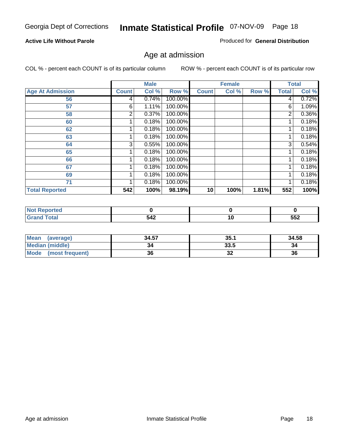#### **Active Life Without Parole**

Produced for **General Distribution**

### Age at admission

|                         |              | <b>Male</b> |         |              | <b>Female</b> |       |              | <b>Total</b> |
|-------------------------|--------------|-------------|---------|--------------|---------------|-------|--------------|--------------|
| <b>Age At Admission</b> | <b>Count</b> | Col %       | Row %   | <b>Count</b> | Col %         | Row % | <b>Total</b> | Col %        |
| 56                      | 4            | 0.74%       | 100.00% |              |               |       | 4            | 0.72%        |
| 57                      | 6            | 1.11%       | 100.00% |              |               |       | 6            | 1.09%        |
| 58                      | 2            | 0.37%       | 100.00% |              |               |       | 2            | 0.36%        |
| 60                      |              | 0.18%       | 100.00% |              |               |       |              | 0.18%        |
| 62                      |              | 0.18%       | 100.00% |              |               |       |              | 0.18%        |
| 63                      |              | 0.18%       | 100.00% |              |               |       |              | 0.18%        |
| 64                      | 3            | 0.55%       | 100.00% |              |               |       | 3            | 0.54%        |
| 65                      |              | 0.18%       | 100.00% |              |               |       |              | 0.18%        |
| 66                      |              | 0.18%       | 100.00% |              |               |       |              | 0.18%        |
| 67                      |              | 0.18%       | 100.00% |              |               |       |              | 0.18%        |
| 69                      |              | 0.18%       | 100.00% |              |               |       | 1            | 0.18%        |
| 71                      |              | 0.18%       | 100.00% |              |               |       | ◢            | 0.18%        |
| <b>Total Reported</b>   | 542          | 100%        | 98.19%  | 10           | 100%          | 1.81% | 552          | 100%         |

| тес   |     |    |            |
|-------|-----|----|------------|
| _____ | 542 | __ | ににつ<br>ວວ∠ |

| <b>Mean</b><br>(average)       | 34.57 | 35.1    | 34.58 |
|--------------------------------|-------|---------|-------|
| <b>Median (middle)</b>         | 34    | 33.5    | 34    |
| <b>Mode</b><br>(most frequent) | 36    | ົ<br>JZ | 36    |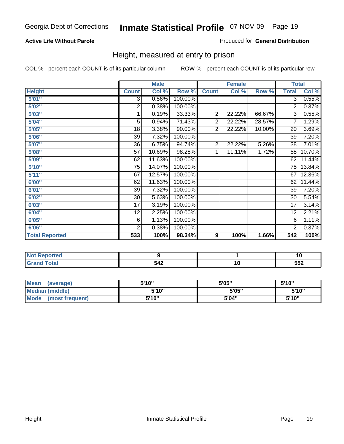#### **Active Life Without Parole**

#### Produced for **General Distribution**

### Height, measured at entry to prison

|                       |                 | <b>Male</b> |         |                | <b>Female</b> |        | <b>Total</b>    |        |
|-----------------------|-----------------|-------------|---------|----------------|---------------|--------|-----------------|--------|
| <b>Height</b>         | <b>Count</b>    | Col %       | Row %   | <b>Count</b>   | Col %         | Row %  | <b>Total</b>    | Col %  |
| 5'01''                | $\overline{3}$  | 0.56%       | 100.00% |                |               |        | 3               | 0.55%  |
| 5'02"                 | $\overline{c}$  | 0.38%       | 100.00% |                |               |        | 2               | 0.37%  |
| 5'03"                 | 1               | 0.19%       | 33.33%  | $\overline{2}$ | 22.22%        | 66.67% | 3               | 0.55%  |
| 5'04"                 | 5               | 0.94%       | 71.43%  | $\overline{2}$ | 22.22%        | 28.57% | 7               | 1.29%  |
| 5'05"                 | 18              | 3.38%       | 90.00%  | $\overline{2}$ | 22.22%        | 10.00% | 20              | 3.69%  |
| 5'06"                 | 39              | 7.32%       | 100.00% |                |               |        | $\overline{39}$ | 7.20%  |
| 5'07''                | 36              | 6.75%       | 94.74%  | $\overline{2}$ | 22.22%        | 5.26%  | 38              | 7.01%  |
| 5'08"                 | $\overline{57}$ | 10.69%      | 98.28%  | 1              | 11.11%        | 1.72%  | $\overline{58}$ | 10.70% |
| <b>5'09"</b>          | 62              | 11.63%      | 100.00% |                |               |        | 62              | 11.44% |
| 5'10''                | 75              | 14.07%      | 100.00% |                |               |        | 75              | 13.84% |
| 5'11''                | 67              | 12.57%      | 100.00% |                |               |        | 67              | 12.36% |
| 6'00"                 | 62              | 11.63%      | 100.00% |                |               |        | 62              | 11.44% |
| 6'01''                | 39              | 7.32%       | 100.00% |                |               |        | 39              | 7.20%  |
| 6'02''                | 30              | 5.63%       | 100.00% |                |               |        | 30              | 5.54%  |
| 6'03"                 | 17              | 3.19%       | 100.00% |                |               |        | $\overline{17}$ | 3.14%  |
| 6'04"                 | 12              | 2.25%       | 100.00% |                |               |        | 12              | 2.21%  |
| 6'05"                 | 6               | 1.13%       | 100.00% |                |               |        | 6               | 1.11%  |
| 6'06"                 | $\overline{2}$  | 0.38%       | 100.00% |                |               |        | 2               | 0.37%  |
| <b>Total Reported</b> | 533             | 100%        | 98.34%  | 9              | 100%          | 1.66%  | 542             | 100%   |

| τeα<br>.   |     |            |
|------------|-----|------------|
| _<br>_____ | 542 | ににつ<br>ບບ∠ |

| <b>Mean</b><br>(average)       | 5'10" | 5'05" | 5'10" |
|--------------------------------|-------|-------|-------|
| Median (middle)                | 5'10" | 5'05" | 5'10" |
| <b>Mode</b><br>(most frequent) | 5'10" | 5'04" | 5'10" |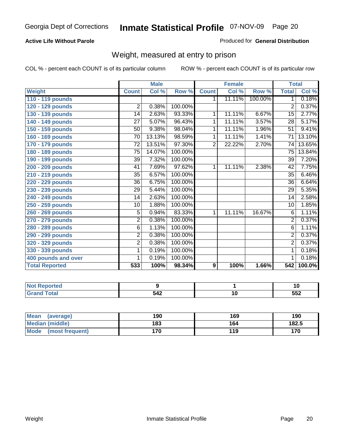#### **Active Life Without Parole**

#### Produced for **General Distribution**

### Weight, measured at entry to prison

|                       |                 | <b>Male</b> |         |              | <b>Female</b> |         | <b>Total</b>    |        |
|-----------------------|-----------------|-------------|---------|--------------|---------------|---------|-----------------|--------|
| <b>Weight</b>         | <b>Count</b>    | Col %       | Row %   | <b>Count</b> | Col %         | Row %   | <b>Total</b>    | Col %  |
| 110 - 119 pounds      |                 |             |         | 1.           | 11.11%        | 100.00% | 1               | 0.18%  |
| 120 - 129 pounds      | $\overline{2}$  | 0.38%       | 100.00% |              |               |         | 2               | 0.37%  |
| 130 - 139 pounds      | 14              | 2.63%       | 93.33%  | 1            | 11.11%        | 6.67%   | 15              | 2.77%  |
| 140 - 149 pounds      | $\overline{27}$ | 5.07%       | 96.43%  | 1            | 11.11%        | 3.57%   | 28              | 5.17%  |
| 150 - 159 pounds      | 50              | 9.38%       | 98.04%  | 1            | 11.11%        | 1.96%   | $\overline{51}$ | 9.41%  |
| 160 - 169 pounds      | 70              | 13.13%      | 98.59%  | 1            | 11.11%        | 1.41%   | 71              | 13.10% |
| 170 - 179 pounds      | 72              | 13.51%      | 97.30%  | 2            | 22.22%        | 2.70%   | 74              | 13.65% |
| 180 - 189 pounds      | 75              | 14.07%      | 100.00% |              |               |         | 75              | 13.84% |
| 190 - 199 pounds      | $\overline{39}$ | 7.32%       | 100.00% |              |               |         | 39              | 7.20%  |
| 200 - 209 pounds      | 41              | 7.69%       | 97.62%  | 1.           | 11.11%        | 2.38%   | 42              | 7.75%  |
| 210 - 219 pounds      | 35              | 6.57%       | 100.00% |              |               |         | 35              | 6.46%  |
| 220 - 229 pounds      | 36              | 6.75%       | 100.00% |              |               |         | 36              | 6.64%  |
| 230 - 239 pounds      | 29              | 5.44%       | 100.00% |              |               |         | 29              | 5.35%  |
| 240 - 249 pounds      | 14              | 2.63%       | 100.00% |              |               |         | 14              | 2.58%  |
| 250 - 259 pounds      | 10              | 1.88%       | 100.00% |              |               |         | 10              | 1.85%  |
| 260 - 269 pounds      | $\overline{5}$  | 0.94%       | 83.33%  | 1            | 11.11%        | 16.67%  | 6               | 1.11%  |
| 270 - 279 pounds      | $\overline{2}$  | 0.38%       | 100.00% |              |               |         | $\overline{2}$  | 0.37%  |
| 280 - 289 pounds      | 6               | 1.13%       | 100.00% |              |               |         | 6               | 1.11%  |
| 290 - 299 pounds      | $\overline{2}$  | 0.38%       | 100.00% |              |               |         | $\overline{2}$  | 0.37%  |
| 320 - 329 pounds      | $\overline{2}$  | 0.38%       | 100.00% |              |               |         | $\overline{2}$  | 0.37%  |
| 330 - 339 pounds      | $\mathbf{1}$    | 0.19%       | 100.00% |              |               |         | 1               | 0.18%  |
| 400 pounds and over   | 1               | 0.19%       | 100.00% |              |               |         | 1               | 0.18%  |
| <b>Total Reported</b> | 533             | 100%        | 98.34%  | 9            | 100%          | 1.66%   | 542             | 100.0% |

| rted               |     |            |
|--------------------|-----|------------|
| <b>otal</b><br>--- | 542 | cco<br>ວວ∠ |

| <b>Mean</b><br>(average)       | 190 | 169 | 190   |
|--------------------------------|-----|-----|-------|
| Median (middle)                | 183 | 164 | 182.5 |
| <b>Mode</b><br>(most frequent) | 170 | 119 | 170   |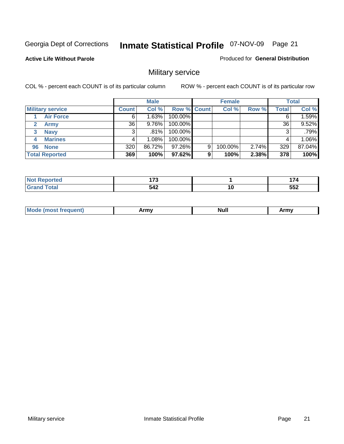**Active Life Without Parole** 

Produced for **General Distribution**

### Military service

|                         |              | <b>Male</b> |                    |   | <b>Female</b> |       |       | <b>Total</b> |
|-------------------------|--------------|-------------|--------------------|---|---------------|-------|-------|--------------|
| <b>Military service</b> | <b>Count</b> | Col %       | <b>Row % Count</b> |   | Col %         | Row % | Total | Col %        |
| <b>Air Force</b>        | 6            | 1.63%       | 100.00%            |   |               |       |       | 1.59%        |
| <b>Army</b>             | 36           | $9.76\%$    | 100.00%            |   |               |       | 36    | 9.52%        |
| <b>Navy</b><br>3        |              | .81%        | 100.00%            |   |               |       |       | .79%         |
| <b>Marines</b><br>4     |              | $1.08\%$    | 100.00%            |   |               |       | 4     | 1.06%        |
| 96 None                 | 320          | 86.72%      | 97.26%             | 9 | 100.00%       | 2.74% | 329   | 87.04%       |
| <b>Total Reported</b>   | 369          | 100%        | 97.62%             | 9 | 100%          | 2.38% | 378   | 100%         |

| N<br>тео | $\overline{\phantom{a}}$ |    | . . |
|----------|--------------------------|----|-----|
|          | 542                      | '' | 552 |

| M<br><b>IVUII</b><br>.<br>. |
|-----------------------------|
|-----------------------------|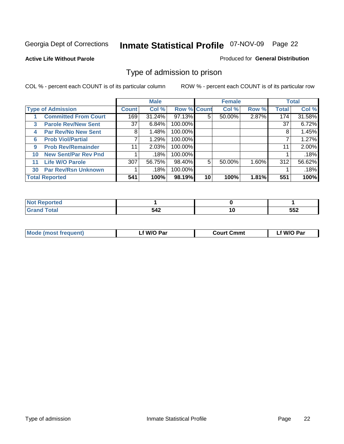#### **Active Life Without Parole**

#### Produced for **General Distribution**

### Type of admission to prison

|              |                             |                 | <b>Male</b> |                    |    | <b>Female</b> |       |              | <b>Total</b> |
|--------------|-----------------------------|-----------------|-------------|--------------------|----|---------------|-------|--------------|--------------|
|              | <b>Type of Admission</b>    | <b>Count</b>    | Col %       | <b>Row % Count</b> |    | Col %         | Row % | <b>Total</b> | Col %        |
|              | <b>Committed From Court</b> | 169             | 31.24%      | 97.13%             | 5  | 50.00%        | 2.87% | 174          | 31.58%       |
| $\mathbf{3}$ | <b>Parole Rev/New Sent</b>  | 37 <sup>1</sup> | 6.84%       | 100.00%            |    |               |       | 37           | 6.72%        |
| 4            | <b>Par Rev/No New Sent</b>  | 8               | 1.48%       | 100.00%            |    |               |       | 8            | 1.45%        |
| 6            | <b>Prob Viol/Partial</b>    | 7               | 1.29%       | 100.00%            |    |               |       |              | 1.27%        |
| 9            | <b>Prob Rev/Remainder</b>   | 11              | 2.03%       | 100.00%            |    |               |       | 11           | 2.00%        |
| 10           | <b>New Sent/Par Rev Pnd</b> |                 | .18%        | 100.00%            |    |               |       |              | .18%         |
| 11           | <b>Life W/O Parole</b>      | 307             | 56.75%      | 98.40%             | 5  | 50.00%        | 1.60% | 312          | 56.62%       |
| 30           | <b>Par Rev/Rsn Unknown</b>  |                 | .18%        | 100.00%            |    |               |       |              | .18%         |
|              | <b>Total Reported</b>       | 541             | 100%        | 98.19%             | 10 | 100%          | 1.81% | 551          | 100%         |

| eported<br>NOT                                           |             |          |             |
|----------------------------------------------------------|-------------|----------|-------------|
| <b>Total</b><br><b>C</b> red<br>$\sim$ . $\sim$ . $\sim$ | - 10<br>J44 | л<br>. . | ににつ<br>ິບບ∠ |

| <b>Mode (most frequent)</b> | <sup>€</sup> W/O Par | <b>Court Cmmt</b> | W/O Par |
|-----------------------------|----------------------|-------------------|---------|
|                             |                      |                   |         |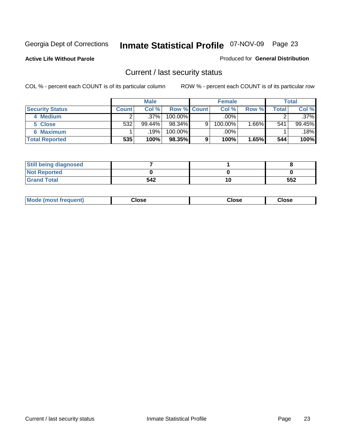**Active Life Without Parole** 

Produced for **General Distribution**

### Current / last security status

|                        |         | <b>Male</b> |                    |   | <b>Female</b> |          |                    | <b>Total</b> |
|------------------------|---------|-------------|--------------------|---|---------------|----------|--------------------|--------------|
| <b>Security Status</b> | Count l | Col%        | <b>Row % Count</b> |   | Col %         | Row %    | $\mathsf{Total}$ . | Col %        |
| 4 Medium               |         | $.37\%$     | $100.00\%$         |   | .00%          |          |                    | $.37\%$      |
| 5 Close                | 532     | $99.44\%$   | $98.34\%$          | 9 | 100.00%       | $1.66\%$ | 541                | 99.45%       |
| <b>6 Maximum</b>       |         | $.19\%$     | $100.00\%$         |   | .00%          |          |                    | .18%         |
| <b>Total Reported</b>  | 535     | 100%        | 98.35%             | 9 | 100%          | 1.65%    | 544                | 100%         |

| <b>Still being diagnosed</b> |     |    |     |
|------------------------------|-----|----|-----|
| <b>Not Reported</b>          |     |    |     |
| <b>Grand Total</b>           | 542 | 10 | 552 |

| Mode (most frequent) | Close | Close | Close |
|----------------------|-------|-------|-------|
|                      |       |       |       |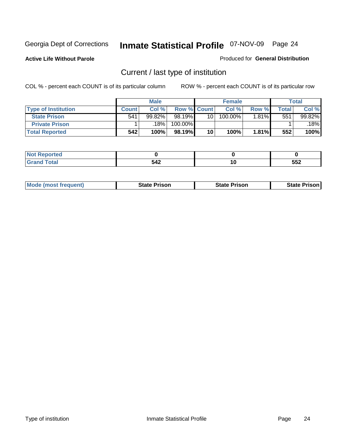**Active Life Without Parole** 

Produced for **General Distribution**

### Current / last type of institution

|                            |              | <b>Male</b> |                    |                 | <b>Female</b> |          |       | <b>Total</b> |
|----------------------------|--------------|-------------|--------------------|-----------------|---------------|----------|-------|--------------|
| <b>Type of Institution</b> | <b>Count</b> | Col%        | <b>Row % Count</b> |                 | Col %         | Row %    | Total | Col %        |
| <b>State Prison</b>        | 541          | $99.82\%$   | 98.19%             | 10 <sub>1</sub> | 100.00%       | $1.81\%$ | 551   | 99.82%       |
| <b>Private Prison</b>      |              | 18%         | 100.00%            |                 |               |          |       | 18%          |
| <b>Total Reported</b>      | 542          | 100%        | 98.19%             | 10              | 100%          | 1.81%    | 552   | 100%         |

| <b>Reported</b><br>. |            |     |     |
|----------------------|------------|-----|-----|
|                      | 542<br>◡┭▴ | ט ו | 552 |

| <b>Mode (most frequent)</b> | <b>State Prison</b> | <b>State Prison</b> | <b>State Prison</b> |
|-----------------------------|---------------------|---------------------|---------------------|
|                             |                     |                     |                     |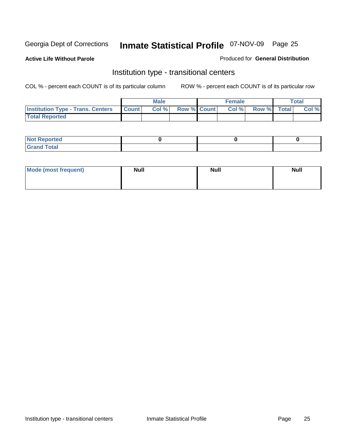**Active Life Without Parole** 

Produced for **General Distribution**

### Institution type - transitional centers

|                                                  | <b>Male</b> |                    | <b>Female</b> |             | <b>Total</b> |
|--------------------------------------------------|-------------|--------------------|---------------|-------------|--------------|
| <b>Institution Type - Trans. Centers Count  </b> | Col %       | <b>Row % Count</b> | Col%          | Row % Total | Col %        |
| <b>Total Reported</b>                            |             |                    |               |             |              |

| rtea<br>20 NGL 2<br>  |  |  |
|-----------------------|--|--|
| into!<br>---<br>_____ |  |  |

| Mode (most frequent) | <b>Null</b> | <b>Null</b> | <b>Null</b> |
|----------------------|-------------|-------------|-------------|
|                      |             |             |             |
|                      |             |             |             |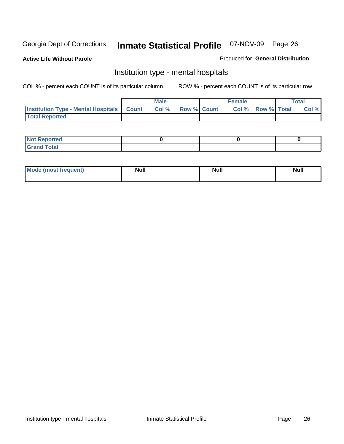**Active Life Without Parole** 

Produced for **General Distribution**

### Institution type - mental hospitals

|                                                  | <b>Male</b> |                    | <b>Female</b> |                   | <b>Total</b> |
|--------------------------------------------------|-------------|--------------------|---------------|-------------------|--------------|
| <b>Institution Type - Mental Hospitals Count</b> | Col%        | <b>Row % Count</b> |               | Col % Row % Total | Col %        |
| <b>Total Reported</b>                            |             |                    |               |                   |              |

| <b>Not Reported</b> |  |  |
|---------------------|--|--|
| <b>Fotal</b><br>Cro |  |  |

| Mode (most frequent) | <b>Null</b> | <b>Null</b> | <b>Null</b> |
|----------------------|-------------|-------------|-------------|
|                      |             |             |             |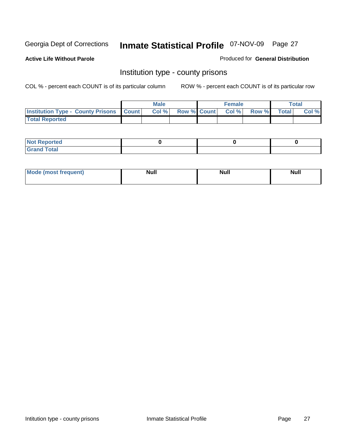**Active Life Without Parole** 

Produced for **General Distribution**

### Institution type - county prisons

|                                                    | <b>Male</b> |                          | <b>Female</b> |       |              | Total |
|----------------------------------------------------|-------------|--------------------------|---------------|-------|--------------|-------|
| <b>Institution Type - County Prisons   Count  </b> | Col %       | <b>Row % Count Col %</b> |               | Row % | <b>Total</b> | Col % |
| <b>Total Reported</b>                              |             |                          |               |       |              |       |

| <b>Not</b><br><b>Reported</b> |  |  |
|-------------------------------|--|--|
| <b>Grand Total</b>            |  |  |

| <b>Mo</b><br>frequent) | NI. . II<br>1u 11 | <b>Moll</b> | <b>Null</b> |
|------------------------|-------------------|-------------|-------------|
|                        |                   |             |             |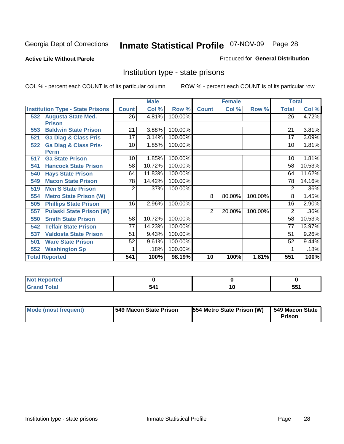#### **Active Life Without Parole**

#### Produced for **General Distribution**

### Institution type - state prisons

|     |                                         |              | <b>Male</b> |         |                | <b>Female</b> |         | <b>Total</b>    |        |
|-----|-----------------------------------------|--------------|-------------|---------|----------------|---------------|---------|-----------------|--------|
|     | <b>Institution Type - State Prisons</b> | <b>Count</b> | Col %       | Row %   | <b>Count</b>   | Col %         | Row %   | <b>Total</b>    | Col %  |
| 532 | <b>Augusta State Med.</b>               | 26           | 4.81%       | 100.00% |                |               |         | $\overline{26}$ | 4.72%  |
|     | <b>Prison</b>                           |              |             |         |                |               |         |                 |        |
| 553 | <b>Baldwin State Prison</b>             | 21           | 3.88%       | 100.00% |                |               |         | 21              | 3.81%  |
| 521 | <b>Ga Diag &amp; Class Pris</b>         | 17           | 3.14%       | 100.00% |                |               |         | 17              | 3.09%  |
| 522 | <b>Ga Diag &amp; Class Pris-</b>        | 10           | 1.85%       | 100.00% |                |               |         | 10              | 1.81%  |
|     | <b>Perm</b>                             |              |             |         |                |               |         |                 |        |
| 517 | <b>Ga State Prison</b>                  | 10           | 1.85%       | 100.00% |                |               |         | 10              | 1.81%  |
| 541 | <b>Hancock State Prison</b>             | 58           | 10.72%      | 100.00% |                |               |         | 58              | 10.53% |
| 540 | <b>Hays State Prison</b>                | 64           | 11.83%      | 100.00% |                |               |         | 64              | 11.62% |
| 549 | <b>Macon State Prison</b>               | 78           | 14.42%      | 100.00% |                |               |         | 78              | 14.16% |
| 519 | <b>Men'S State Prison</b>               | 2            | .37%        | 100.00% |                |               |         | 2               | .36%   |
| 554 | <b>Metro State Prison (W)</b>           |              |             |         | 8              | 80.00%        | 100.00% | 8               | 1.45%  |
| 505 | <b>Phillips State Prison</b>            | 16           | 2.96%       | 100.00% |                |               |         | 16              | 2.90%  |
| 557 | <b>Pulaski State Prison (W)</b>         |              |             |         | $\overline{2}$ | 20.00%        | 100.00% | 2               | .36%   |
| 550 | <b>Smith State Prison</b>               | 58           | 10.72%      | 100.00% |                |               |         | 58              | 10.53% |
| 542 | <b>Telfair State Prison</b>             | 77           | 14.23%      | 100.00% |                |               |         | 77              | 13.97% |
| 537 | <b>Valdosta State Prison</b>            | 51           | 9.43%       | 100.00% |                |               |         | 51              | 9.26%  |
| 501 | <b>Ware State Prison</b>                | 52           | 9.61%       | 100.00% |                |               |         | 52              | 9.44%  |
| 552 | <b>Washington Sp</b>                    |              | .18%        | 100.00% |                |               |         |                 | .18%   |
|     | <b>Total Reported</b>                   | 541          | 100%        | 98.19%  | 10             | 100%          | 1.81%   | 551             | 100%   |

| <b>Not</b><br><b>Not Reported</b> |        |     |
|-----------------------------------|--------|-----|
| <b>Total</b>                      | -11    | 551 |
| <b>Grand</b>                      | $\sim$ | JJI |

| <b>Mode (most frequent)</b> | 1549 Macon State Prison | 554 Metro State Prison (W) | 549 Macon State<br>Prison |
|-----------------------------|-------------------------|----------------------------|---------------------------|
|-----------------------------|-------------------------|----------------------------|---------------------------|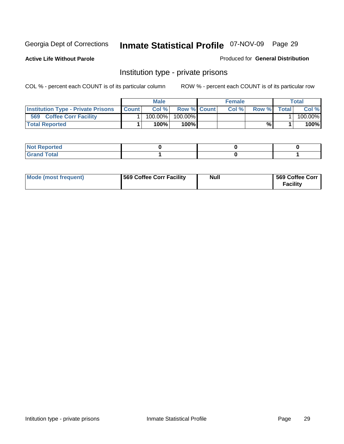**Active Life Without Parole** 

Produced for **General Distribution**

### Institution type - private prisons

|                                           |              | <b>Male</b> |                    | <b>Female</b> |       |              | Total   |
|-------------------------------------------|--------------|-------------|--------------------|---------------|-------|--------------|---------|
| <b>Institution Type - Private Prisons</b> | <b>Count</b> | Col %       | <b>Row % Count</b> | Col %         | Row % | <b>Total</b> | Col %   |
| 569<br><b>Coffee Corr Facility</b>        |              | 100.00%     | 100.00%            |               |       |              | 100.00% |
| <b>Total Reported</b>                     |              | 100%        | 100% <b>I</b>      |               | %     |              | 100%    |

| rtea<br>$\sim$<br>.      |  |  |
|--------------------------|--|--|
| int<br><b>TULAI</b><br>- |  |  |

| Mode (most frequent) | 569 Coffee Corr Facility | <b>Null</b> | 569 Coffee Corr<br><b>Facility</b> |
|----------------------|--------------------------|-------------|------------------------------------|
|----------------------|--------------------------|-------------|------------------------------------|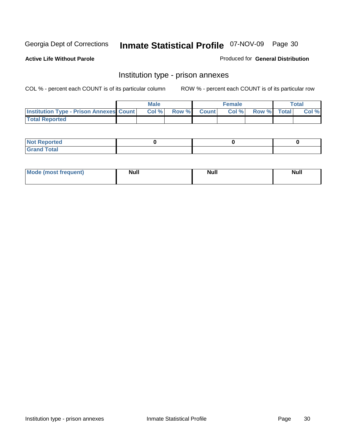**Active Life Without Parole** 

Produced for **General Distribution**

### Institution type - prison annexes

|                                                | <b>Male</b> |              |                | <b>Female</b> |             | <b>Total</b> |
|------------------------------------------------|-------------|--------------|----------------|---------------|-------------|--------------|
| <b>Institution Type - Prison Annexes Count</b> | Col %       | <b>Row %</b> | <b>Count</b> Ⅰ | Col%          | Row % Total | Col %        |
| <b>Total Reported</b>                          |             |              |                |               |             |              |

| <b>Not Reported</b>            |  |  |
|--------------------------------|--|--|
| <b>Total</b><br>Croi<br>$\sim$ |  |  |

| Mode (most frequent) | <b>Null</b> | <b>Null</b> | <b>Null</b> |
|----------------------|-------------|-------------|-------------|
|                      |             |             |             |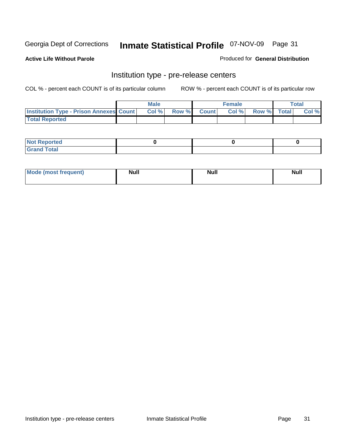**Active Life Without Parole** 

Produced for **General Distribution**

### Institution type - pre-release centers

|                                                | <b>Male</b> |                    | <b>Female</b> |             | <b>Total</b> |
|------------------------------------------------|-------------|--------------------|---------------|-------------|--------------|
| <b>Institution Type - Prison Annexes Count</b> | Col %       | <b>Row % Count</b> | Col %         | Row % Total | Col %        |
| <b>Total Reported</b>                          |             |                    |               |             |              |

| <b>Not</b><br><b>Reported</b>    |  |  |
|----------------------------------|--|--|
| <b>Total</b><br>Gran<br>$\sim$ . |  |  |

| Mode (most frequent) | <b>Null</b> | <b>Null</b> | <b>Null</b> |
|----------------------|-------------|-------------|-------------|
|                      |             |             |             |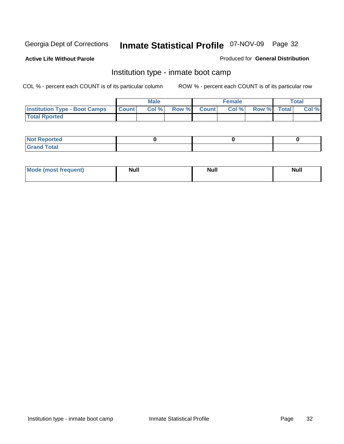**Active Life Without Parole** 

Produced for **General Distribution**

### Institution type - inmate boot camp

|                                      |              | Male  |             | <b>Female</b> |             | <b>Total</b> |
|--------------------------------------|--------------|-------|-------------|---------------|-------------|--------------|
| <b>Institution Type - Boot Camps</b> | <b>Count</b> | Col % | Row % Count | Col %         | Row % Total | Col %        |
| <b>Total Rported</b>                 |              |       |             |               |             |              |

| <b>Not Reported</b>  |  |  |
|----------------------|--|--|
| <b>Total</b><br>Croy |  |  |

| Mode (most frequent) | <b>Null</b> | <b>Null</b> | <b>Null</b> |
|----------------------|-------------|-------------|-------------|
|                      |             |             |             |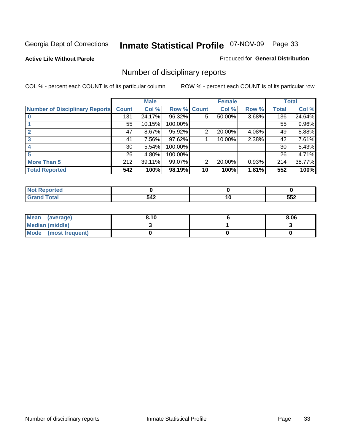#### **Active Life Without Parole**

#### Produced for **General Distribution**

### Number of disciplinary reports

|                                       |                 | <b>Male</b> |             |    | <b>Female</b> |       |              | <b>Total</b> |
|---------------------------------------|-----------------|-------------|-------------|----|---------------|-------|--------------|--------------|
| <b>Number of Disciplinary Reports</b> | <b>Count</b>    | Col %       | Row % Count |    | Col %         | Row % | <b>Total</b> | Col %        |
|                                       | 131             | 24.17%      | 96.32%      | 5  | 50.00%        | 3.68% | 136          | 24.64%       |
|                                       | 55              | 10.15%      | 100.00%     |    |               |       | 55           | 9.96%        |
|                                       | 47              | $8.67\%$    | 95.92%      | 2  | 20.00%        | 4.08% | 49           | 8.88%        |
| 3                                     | 41              | 7.56%       | 97.62%      |    | 10.00%        | 2.38% | 42           | 7.61%        |
|                                       | 30 <sup>1</sup> | 5.54%       | 100.00%     |    |               |       | 30           | 5.43%        |
| 5                                     | 26 <sup>1</sup> | 4.80%       | 100.00%     |    |               |       | 26           | 4.71%        |
| <b>More Than 5</b>                    | 212             | 39.11%      | 99.07%      | 2  | 20.00%        | 0.93% | 214          | 38.77%       |
| <b>Total Reported</b>                 | 542             | 100%        | 98.19%      | 10 | 100%          | 1.81% | 552          | 100%         |

| 542 | יי<br>$\sim$ | ににつ<br>◡◡▵ |
|-----|--------------|------------|

| Mean (average)       | 8.10 | 8.06 |
|----------------------|------|------|
| Median (middle)      |      |      |
| Mode (most frequent) |      |      |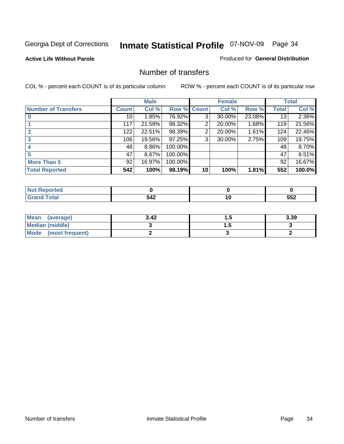#### **Active Life Without Parole**

#### Produced for **General Distribution**

### Number of transfers

|                       |                 | <b>Male</b> |         |                | <b>Female</b> |        |              | <b>Total</b> |
|-----------------------|-----------------|-------------|---------|----------------|---------------|--------|--------------|--------------|
| Number of Transfers   | Count l         | Col %       | Row %   | <b>Count</b>   | Col %         | Row %  | <b>Total</b> | Col %        |
|                       | 10 <sup>1</sup> | 1.85%       | 76.92%  | 3 <sub>l</sub> | 30.00%        | 23.08% | 13           | 2.36%        |
|                       | 117             | 21.59%      | 98.32%  | $\overline{2}$ | 20.00%        | 1.68%  | 119          | 21.56%       |
|                       | 122             | 22.51%      | 98.39%  | 2              | 20.00%        | 1.61%  | 124          | 22.46%       |
|                       | 106             | 19.56%      | 97.25%  | 3              | 30.00%        | 2.75%  | 109          | 19.75%       |
|                       | 48              | 8.86%       | 100.00% |                |               |        | 48           | 8.70%        |
|                       | 47              | 8.67%       | 100.00% |                |               |        | 47           | $8.51\%$     |
| <b>More Than 5</b>    | 92              | 16.97%      | 100.00% |                |               |        | 92           | 16.67%       |
| <b>Total Reported</b> | 542             | 100%        | 98.19%  | 10             | 100%          | 1.81%  | 552          | 100.0%       |

| 542 | יי<br>$\sim$ | ににつ<br>◡◡▵ |
|-----|--------------|------------|

| Mean (average)       | 3.42 | . . | 3.39 |
|----------------------|------|-----|------|
| Median (middle)      |      | .   |      |
| Mode (most frequent) |      |     |      |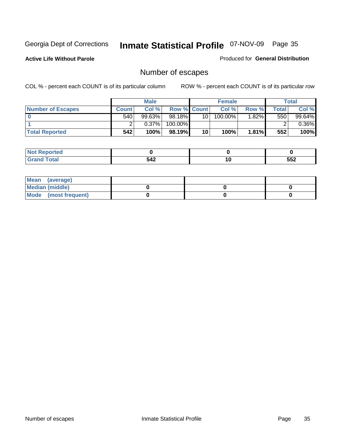**Active Life Without Parole** 

Produced for **General Distribution**

### Number of escapes

|                          |              | <b>Male</b> |                    |    | <b>Female</b> |          |       | <b>Total</b> |
|--------------------------|--------------|-------------|--------------------|----|---------------|----------|-------|--------------|
| <b>Number of Escapes</b> | <b>Count</b> | Col %       | <b>Row % Count</b> |    | Col %         | Row %    | Total | Col %        |
|                          | 540          | $99.63\%$   | 98.18%             | 10 | $100.00\%$    | $1.82\%$ | 550   | 99.64%       |
|                          |              | 0.37%       | 100.00%            |    |               |          |       | 0.36%        |
| <b>Total Reported</b>    | 542          | 100%        | 98.19%             | 10 | 100%          | 1.81%    | 552   | 100%         |

| rted                  |     |     |     |
|-----------------------|-----|-----|-----|
| <b>Fotal</b><br>Grand | 542 | . . | 552 |

| Mean (average)       |  |  |
|----------------------|--|--|
| Median (middle)      |  |  |
| Mode (most frequent) |  |  |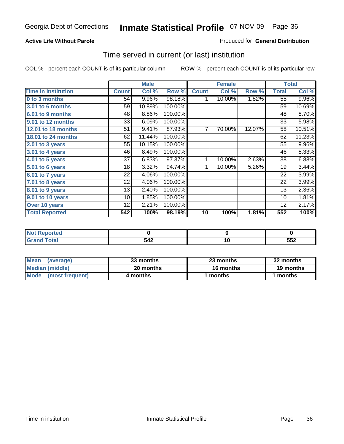#### **Active Life Without Parole**

#### Produced for **General Distribution**

### Time served in current (or last) institution

|                            |              | <b>Male</b> |         |                | <b>Female</b> |        |                 | <b>Total</b> |
|----------------------------|--------------|-------------|---------|----------------|---------------|--------|-----------------|--------------|
| <b>Time In Institution</b> | <b>Count</b> | Col %       | Row %   | <b>Count</b>   | Col %         | Row %  | <b>Total</b>    | Col %        |
| 0 to 3 months              | 54           | 9.96%       | 98.18%  | 1              | 10.00%        | 1.82%  | $\overline{55}$ | 9.96%        |
| 3.01 to 6 months           | 59           | 10.89%      | 100.00% |                |               |        | 59              | 10.69%       |
| 6.01 to 9 months           | 48           | 8.86%       | 100.00% |                |               |        | 48              | 8.70%        |
| 9.01 to 12 months          | 33           | 6.09%       | 100.00% |                |               |        | 33              | 5.98%        |
| 12.01 to 18 months         | 51           | 9.41%       | 87.93%  | $\overline{7}$ | 70.00%        | 12.07% | 58              | 10.51%       |
| 18.01 to 24 months         | 62           | 11.44%      | 100.00% |                |               |        | 62              | 11.23%       |
| 2.01 to 3 years            | 55           | 10.15%      | 100.00% |                |               |        | 55              | 9.96%        |
| 3.01 to 4 years            | 46           | 8.49%       | 100.00% |                |               |        | 46              | 8.33%        |
| 4.01 to 5 years            | 37           | 6.83%       | 97.37%  | 1              | 10.00%        | 2.63%  | 38              | 6.88%        |
| 5.01 to 6 years            | 18           | 3.32%       | 94.74%  | 1              | 10.00%        | 5.26%  | 19              | 3.44%        |
| 6.01 to 7 years            | 22           | 4.06%       | 100.00% |                |               |        | 22              | 3.99%        |
| $7.01$ to 8 years          | 22           | 4.06%       | 100.00% |                |               |        | 22              | 3.99%        |
| 8.01 to 9 years            | 13           | 2.40%       | 100.00% |                |               |        | 13              | 2.36%        |
| 9.01 to 10 years           | 10           | 1.85%       | 100.00% |                |               |        | 10              | 1.81%        |
| Over 10 years              | 12           | 2.21%       | 100.00% |                |               |        | 12              | 2.17%        |
| <b>Total Reported</b>      | 542          | 100%        | 98.19%  | 10             | 100%          | 1.81%  | 552             | 100%         |

| <b>Reported</b><br>. NOT |          |            |
|--------------------------|----------|------------|
| <b>otal</b>              | 512<br>ᅠ | --0<br>ບວ∠ |

| <b>Mean</b><br>(average) | 33 months | 23 months | 32 months |  |
|--------------------------|-----------|-----------|-----------|--|
| Median (middle)          | 20 months | 16 months | 19 months |  |
| Mode<br>(most frequent)  | 4 months  | ∣ months  | months    |  |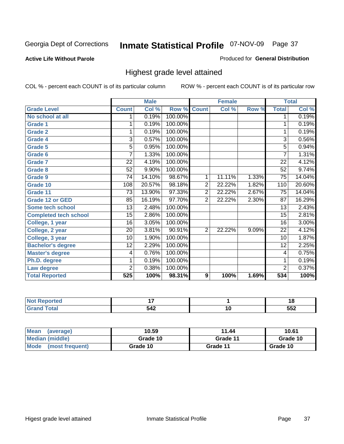### **Active Life Without Parole**

### Produced for **General Distribution**

### Highest grade level attained

|                              |                 | <b>Male</b> |         |                | <b>Female</b> |       |                 | <b>Total</b> |
|------------------------------|-----------------|-------------|---------|----------------|---------------|-------|-----------------|--------------|
| <b>Grade Level</b>           | <b>Count</b>    | Col %       | Row %   | <b>Count</b>   | Col %         | Row % | <b>Total</b>    | Col %        |
| No school at all             | 1.              | 0.19%       | 100.00% |                |               |       | 1               | 0.19%        |
| <b>Grade 1</b>               | 1               | 0.19%       | 100.00% |                |               |       | 1               | 0.19%        |
| <b>Grade 2</b>               | 1               | 0.19%       | 100.00% |                |               |       | 1               | 0.19%        |
| <b>Grade 4</b>               | 3               | 0.57%       | 100.00% |                |               |       | $\overline{3}$  | 0.56%        |
| Grade 5                      | 5               | 0.95%       | 100.00% |                |               |       | $\overline{5}$  | 0.94%        |
| Grade 6                      | 7               | 1.33%       | 100.00% |                |               |       | 7               | 1.31%        |
| <b>Grade 7</b>               | 22              | 4.19%       | 100.00% |                |               |       | 22              | 4.12%        |
| <b>Grade 8</b>               | 52              | 9.90%       | 100.00% |                |               |       | 52              | 9.74%        |
| <b>Grade 9</b>               | 74              | 14.10%      | 98.67%  | 1              | 11.11%        | 1.33% | 75              | 14.04%       |
| Grade 10                     | 108             | 20.57%      | 98.18%  | $\overline{2}$ | 22.22%        | 1.82% | 110             | 20.60%       |
| Grade 11                     | $\overline{73}$ | 13.90%      | 97.33%  | $\overline{2}$ | 22.22%        | 2.67% | $\overline{75}$ | 14.04%       |
| <b>Grade 12 or GED</b>       | 85              | 16.19%      | 97.70%  | $\overline{2}$ | 22.22%        | 2.30% | $\overline{87}$ | 16.29%       |
| <b>Some tech school</b>      | $\overline{13}$ | 2.48%       | 100.00% |                |               |       | 13              | 2.43%        |
| <b>Completed tech school</b> | 15              | 2.86%       | 100.00% |                |               |       | 15              | 2.81%        |
| College, 1 year              | 16              | 3.05%       | 100.00% |                |               |       | 16              | 3.00%        |
| College, 2 year              | 20              | 3.81%       | 90.91%  | $\overline{2}$ | 22.22%        | 9.09% | 22              | 4.12%        |
| College, 3 year              | 10              | 1.90%       | 100.00% |                |               |       | 10              | 1.87%        |
| <b>Bachelor's degree</b>     | 12              | 2.29%       | 100.00% |                |               |       | 12              | 2.25%        |
| <b>Master's degree</b>       | 4               | 0.76%       | 100.00% |                |               |       | 4               | 0.75%        |
| Ph.D. degree                 | 1               | 0.19%       | 100.00% |                |               |       | 1               | 0.19%        |
| Law degree                   | $\overline{2}$  | 0.38%       | 100.00% |                |               |       | $\overline{2}$  | 0.37%        |
| <b>Total Reported</b>        | 525             | 100%        | 98.31%  | 9              | 100%          | 1.69% | 534             | 100%         |

| тео | . .             |                                 | 4 C<br>۰. |
|-----|-----------------|---------------------------------|-----------|
|     | $54^\circ$<br>ᇬ | I U<br>$\overline{\phantom{a}}$ | 552       |

| Mean<br>(average)       | 10.59    | 11.44    | 10.61    |  |
|-------------------------|----------|----------|----------|--|
| Median (middle)         | Grade 10 | Grade 11 | Grade 10 |  |
| Mode<br>(most frequent) | Grade 10 | Grade 11 | Grade 10 |  |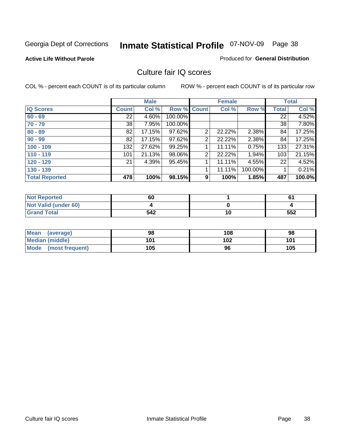#### **Active Life Without Parole**

#### Produced for **General Distribution**

### Culture fair IQ scores

|                       |              | <b>Male</b> |             |                | <b>Female</b> |         |              | <b>Total</b> |
|-----------------------|--------------|-------------|-------------|----------------|---------------|---------|--------------|--------------|
| <b>IQ Scores</b>      | <b>Count</b> | Col %       | Row % Count |                | Col %         | Row %   | <b>Total</b> | Col %        |
| $60 - 69$             | 22           | 4.60%       | 100.00%     |                |               |         | 22           | 4.52%        |
| $70 - 79$             | 38           | 7.95%       | 100.00%     |                |               |         | 38           | 7.80%        |
| $80 - 89$             | 82           | 17.15%      | 97.62%      | $\overline{2}$ | 22.22%        | 2.38%   | 84           | 17.25%       |
| $90 - 99$             | 82           | 17.15%      | 97.62%      | 2              | 22.22%        | 2.38%   | 84           | 17.25%       |
| $100 - 109$           | 132          | 27.62%      | 99.25%      |                | 11.11%        | 0.75%   | 133          | 27.31%       |
| $110 - 119$           | 101          | 21.13%      | 98.06%      | 2              | 22.22%        | 1.94%   | 103          | 21.15%       |
| $120 - 129$           | 21           | 4.39%       | 95.45%      | 1              | 11.11%        | 4.55%   | 22           | 4.52%        |
| $130 - 139$           |              |             |             |                | 11.11%        | 100.00% |              | 0.21%        |
| <b>Total Reported</b> | 478          | 100%        | 98.15%      | 9              | 100%          | 1.85%   | 487          | 100.0%       |

| <b>Not Reported</b>  | 60  |    | 61  |
|----------------------|-----|----|-----|
| Not Valid (under 60) |     |    |     |
| <b>Grand Total</b>   | 542 | 10 | 552 |

| <b>Mean</b><br>(average) | 98  | 108 | 98  |
|--------------------------|-----|-----|-----|
| <b>Median (middle)</b>   | 101 | 102 | 101 |
| Mode (most frequent)     | 105 | 96  | 105 |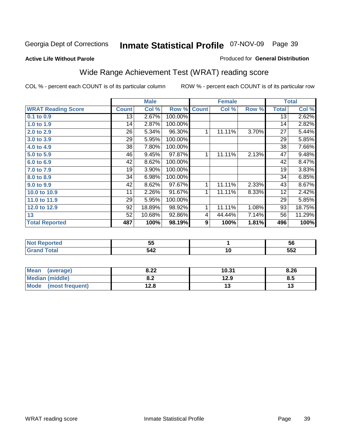#### **Active Life Without Parole**

### Produced for **General Distribution**

# Wide Range Achievement Test (WRAT) reading score

|                           |              | <b>Male</b> |         |              | <b>Female</b> |       |                 | <b>Total</b> |
|---------------------------|--------------|-------------|---------|--------------|---------------|-------|-----------------|--------------|
| <b>WRAT Reading Score</b> | <b>Count</b> | Col %       | Row %   | <b>Count</b> | Col %         | Row % | <b>Total</b>    | Col %        |
| 0.1 to 0.9                | 13           | 2.67%       | 100.00% |              |               |       | $\overline{13}$ | 2.62%        |
| 1.0 to 1.9                | 14           | 2.87%       | 100.00% |              |               |       | 14              | 2.82%        |
| 2.0 to 2.9                | 26           | 5.34%       | 96.30%  | 1            | 11.11%        | 3.70% | 27              | 5.44%        |
| 3.0 to 3.9                | 29           | 5.95%       | 100.00% |              |               |       | 29              | 5.85%        |
| 4.0 to 4.9                | 38           | 7.80%       | 100.00% |              |               |       | 38              | 7.66%        |
| 5.0 to 5.9                | 46           | 9.45%       | 97.87%  | 1            | 11.11%        | 2.13% | 47              | 9.48%        |
| 6.0 to 6.9                | 42           | 8.62%       | 100.00% |              |               |       | 42              | 8.47%        |
| 7.0 to 7.9                | 19           | 3.90%       | 100.00% |              |               |       | 19              | 3.83%        |
| 8.0 to 8.9                | 34           | 6.98%       | 100.00% |              |               |       | 34              | 6.85%        |
| 9.0 to 9.9                | 42           | 8.62%       | 97.67%  | 1            | 11.11%        | 2.33% | 43              | 8.67%        |
| 10.0 to 10.9              | 11           | 2.26%       | 91.67%  | 1            | 11.11%        | 8.33% | 12              | 2.42%        |
| 11.0 to 11.9              | 29           | 5.95%       | 100.00% |              |               |       | 29              | 5.85%        |
| 12.0 to 12.9              | 92           | 18.89%      | 98.92%  | 1            | 11.11%        | 1.08% | 93              | 18.75%       |
| 13                        | 52           | 10.68%      | 92.86%  | 4            | 44.44%        | 7.14% | 56              | 11.29%       |
| <b>Total Reported</b>     | 487          | 100%        | 98.19%  | 9            | 100%          | 1.81% | 496             | 100%         |
|                           |              |             |         |              |               |       |                 |              |
| <b>Not Reported</b>       |              | 55          |         |              | 1             |       |                 | 56           |

| ן ועטנ ולקוטו נפט | ◡   |           | ึง⊍ |
|-------------------|-----|-----------|-----|
|                   | 542 | 4 F<br>יי | 552 |
|                   |     |           |     |

| <b>Mean</b><br>(average)       | 8.22       | 10.31 | 8.26     |
|--------------------------------|------------|-------|----------|
| <b>Median (middle)</b>         | י ס<br>0.Z | 12.9  | ၓ.ͻ      |
| <b>Mode</b><br>(most frequent) | 12.8       | . .   | .,<br>15 |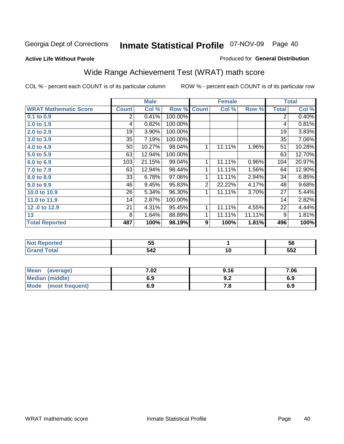**Active Life Without Parole** 

#### Produced for **General Distribution**

# Wide Range Achievement Test (WRAT) math score

|                              |              | <b>Male</b> |         |                | <b>Female</b>  |        |                | <b>Total</b> |
|------------------------------|--------------|-------------|---------|----------------|----------------|--------|----------------|--------------|
| <b>WRAT Mathematic Score</b> | <b>Count</b> | Col %       | Row %   | <b>Count</b>   | Col %          | Row %  | <b>Total</b>   | Col %        |
| $0.1$ to 0.9                 | 2            | 0.41%       | 100.00% |                |                |        | $\overline{2}$ | 0.40%        |
| 1.0 to 1.9                   | 4            | 0.82%       | 100.00% |                |                |        | 4              | 0.81%        |
| 2.0 to 2.9                   | 19           | 3.90%       | 100.00% |                |                |        | 19             | 3.83%        |
| 3.0 to 3.9                   | 35           | 7.19%       | 100.00% |                |                |        | 35             | 7.06%        |
| 4.0 to 4.9                   | 50           | 10.27%      | 98.04%  | 1              | 11.11%         | 1.96%  | 51             | 10.28%       |
| 5.0 to 5.9                   | 63           | 12.94%      | 100.00% |                |                |        | 63             | 12.70%       |
| 6.0 to 6.9                   | 103          | 21.15%      | 99.04%  | 1              | 11.11%         | 0.96%  | 104            | 20.97%       |
| 7.0 to 7.9                   | 63           | 12.94%      | 98.44%  | 1              | 11.11%         | 1.56%  | 64             | 12.90%       |
| 8.0 to 8.9                   | 33           | 6.78%       | 97.06%  | 1              | 11.11%         | 2.94%  | 34             | 6.85%        |
| 9.0 to 9.9                   | 46           | 9.45%       | 95.83%  | $\overline{2}$ | 22.22%         | 4.17%  | 48             | 9.68%        |
| 10.0 to 10.9                 | 26           | 5.34%       | 96.30%  | 1              | 11.11%         | 3.70%  | 27             | 5.44%        |
| 11.0 to 11.9                 | 14           | 2.87%       | 100.00% |                |                |        | 14             | 2.82%        |
| 12.0 to 12.9                 | 21           | 4.31%       | 95.45%  | 1              | 11.11%         | 4.55%  | 22             | 4.44%        |
| 13                           | 8            | 1.64%       | 88.89%  | 1              | 11.11%         | 11.11% | 9              | 1.81%        |
| <b>Total Reported</b>        | 487          | 100%        | 98.19%  | 9              | 100%           | 1.81%  | 496            | 100%         |
|                              |              |             |         |                |                |        |                |              |
| <b>START CONTRACTOR</b>      |              | --          |         |                | $\overline{a}$ |        |                | --           |

|    | --<br>v.                                                | - -<br>ວບ  |
|----|---------------------------------------------------------|------------|
| -- | л1-<br>---<br>$\sim$ $\sim$ $\sim$ $\sim$ $\sim$ $\sim$ | --^<br>--- |

| <b>Mean</b><br>(average)       | 7.02 | 9.16 | 7.06 |
|--------------------------------|------|------|------|
| <b>Median (middle)</b>         | 6.9  | J.Z  | 6.9  |
| <b>Mode</b><br>(most frequent) | 6.9  | .c   | 6.9  |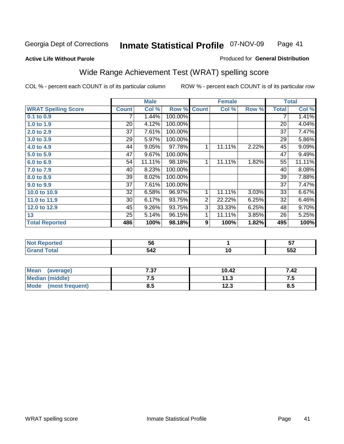### **Active Life Without Parole**

### Produced for **General Distribution**

# Wide Range Achievement Test (WRAT) spelling score

|                            |              | <b>Male</b> |         |                  | <b>Female</b> |       |              | <b>Total</b> |
|----------------------------|--------------|-------------|---------|------------------|---------------|-------|--------------|--------------|
| <b>WRAT Spelling Score</b> | <b>Count</b> | Col %       | Row %   | <b>Count</b>     | Col %         | Row % | <b>Total</b> | Col %        |
| 0.1 to 0.9                 |              | 1.44%       | 100.00% |                  |               |       | 7            | 1.41%        |
| 1.0 to 1.9                 | 20           | 4.12%       | 100.00% |                  |               |       | 20           | 4.04%        |
| 2.0 to 2.9                 | 37           | 7.61%       | 100.00% |                  |               |       | 37           | 7.47%        |
| 3.0 to 3.9                 | 29           | 5.97%       | 100.00% |                  |               |       | 29           | 5.86%        |
| 4.0 to 4.9                 | 44           | 9.05%       | 97.78%  | 1                | 11.11%        | 2.22% | 45           | 9.09%        |
| 5.0 to 5.9                 | 47           | 9.67%       | 100.00% |                  |               |       | 47           | 9.49%        |
| 6.0 to 6.9                 | 54           | 11.11%      | 98.18%  | 1                | 11.11%        | 1.82% | 55           | 11.11%       |
| 7.0 to 7.9                 | 40           | 8.23%       | 100.00% |                  |               |       | 40           | 8.08%        |
| 8.0 to 8.9                 | 39           | 8.02%       | 100.00% |                  |               |       | 39           | 7.88%        |
| 9.0 to 9.9                 | 37           | 7.61%       | 100.00% |                  |               |       | 37           | 7.47%        |
| 10.0 to 10.9               | 32           | 6.58%       | 96.97%  | 1                | 11.11%        | 3.03% | 33           | 6.67%        |
| 11.0 to 11.9               | 30           | 6.17%       | 93.75%  | $\overline{2}$   | 22.22%        | 6.25% | 32           | 6.46%        |
| 12.0 to 12.9               | 45           | 9.26%       | 93.75%  | $\overline{3}$   | 33.33%        | 6.25% | 48           | 9.70%        |
| 13                         | 25           | 5.14%       | 96.15%  | $\mathbf{1}$     | 11.11%        | 3.85% | 26           | 5.25%        |
| <b>Total Reported</b>      | 486          | 100%        | 98.18%  | $\boldsymbol{9}$ | 100%          | 1.82% | 495          | 100%         |
|                            |              |             |         |                  |               |       |              |              |
| <b>Not Reported</b>        |              | 56          |         |                  | 1             |       |              | 57           |
| <b>Grand Total</b>         |              | 542         |         |                  | 10            |       |              | 552          |

| Mean<br>(average)       | 727<br>، ت | 10.42       | 7.42              |
|-------------------------|------------|-------------|-------------------|
| <b>Median (middle)</b>  | ں ،        | 11.3        | ن. د              |
| Mode<br>(most frequent) | 8.5        | 1つ ?<br>د.ء | <b>Q</b> .<br>o.J |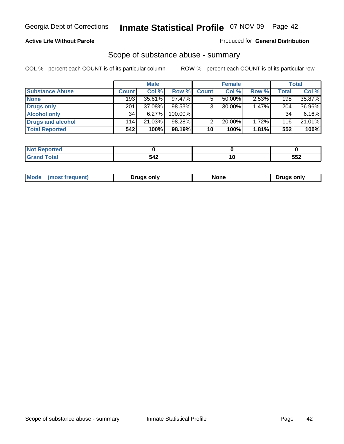### **Active Life Without Parole**

### Produced for **General Distribution**

### Scope of substance abuse - summary

|                        |              | <b>Male</b> |            |              | <b>Female</b> |          |       | Total    |
|------------------------|--------------|-------------|------------|--------------|---------------|----------|-------|----------|
| <b>Substance Abuse</b> | <b>Count</b> | Col %       | Row %      | <b>Count</b> | Col %         | Row %    | Total | Col %    |
| <b>None</b>            | 193          | $35.61\%$   | $97.47\%$  |              | 50.00%        | $2.53\%$ | 198   | 35.87%   |
| Drugs only             | 201          | 37.08%      | $98.53\%$  |              | 30.00%        | 1.47%    | 204   | 36.96%   |
| <b>Alcohol only</b>    | 34           | 6.27%       | $100.00\%$ |              |               |          | 34    | $6.16\%$ |
| Drugs and alcohol      | 114          | 21.03%      | 98.28%     | ⌒            | 20.00%        | 1.72%    | 116   | 21.01%   |
| <b>Total Reported</b>  | 542          | 100%        | 98.19%     | 10           | 100%          | 1.81%    | 552   | 100%     |

| المدافعة<br>  Not<br><b>eported</b> |           |     |
|-------------------------------------|-----------|-----|
| <b>Total</b><br><b>Grand</b>        | 542<br>__ | 552 |

|  | Mode<br>ונוצוווי | Druas onlv | None | only<br>Pruas . |
|--|------------------|------------|------|-----------------|
|--|------------------|------------|------|-----------------|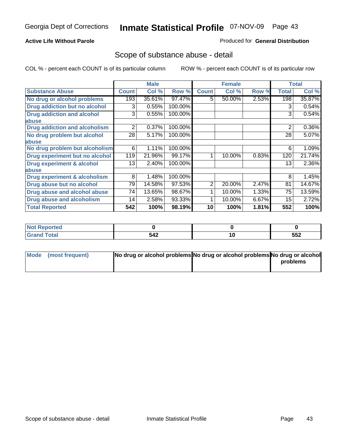### **Active Life Without Parole**

### Produced for **General Distribution**

### Scope of substance abuse - detail

|                                      |              | <b>Male</b> |         |                | <b>Female</b> |       |              | <b>Total</b> |
|--------------------------------------|--------------|-------------|---------|----------------|---------------|-------|--------------|--------------|
| <b>Substance Abuse</b>               | <b>Count</b> | Col %       | Row %   | <b>Count</b>   | Col %         | Row % | <b>Total</b> | Col %        |
| No drug or alcohol problems          | 193          | 35.61%      | 97.47%  | 5.             | 50.00%        | 2.53% | 198          | 35.87%       |
| Drug addiction but no alcohol        | 3            | 0.55%       | 100.00% |                |               |       | 3            | 0.54%        |
| <b>Drug addiction and alcohol</b>    | 3            | 0.55%       | 100.00% |                |               |       | 3            | 0.54%        |
| abuse                                |              |             |         |                |               |       |              |              |
| <b>Drug addiction and alcoholism</b> | 2            | 0.37%       | 100.00% |                |               |       | 2            | 0.36%        |
| No drug problem but alcohol          | 28           | 5.17%       | 100.00% |                |               |       | 28           | 5.07%        |
| abuse                                |              |             |         |                |               |       |              |              |
| No drug problem but alcoholism       | 6            | 1.11%       | 100.00% |                |               |       | 6            | 1.09%        |
| Drug experiment but no alcohol       | 119          | 21.96%      | 99.17%  |                | 10.00%        | 0.83% | 120          | 21.74%       |
| <b>Drug experiment &amp; alcohol</b> | 13           | 2.40%       | 100.00% |                |               |       | 13           | 2.36%        |
| abuse                                |              |             |         |                |               |       |              |              |
| Drug experiment & alcoholism         | 8            | 1.48%       | 100.00% |                |               |       | 8            | 1.45%        |
| Drug abuse but no alcohol            | 79           | 14.58%      | 97.53%  | $\overline{2}$ | 20.00%        | 2.47% | 81           | 14.67%       |
| Drug abuse and alcohol abuse         | 74           | 13.65%      | 98.67%  |                | 10.00%        | 1.33% | 75           | 13.59%       |
| <b>Drug abuse and alcoholism</b>     | 14           | 2.58%       | 93.33%  |                | 10.00%        | 6.67% | 15           | 2.72%        |
| <b>Total Reported</b>                | 542          | 100%        | 98.19%  | 10             | 100%          | 1.81% | 552          | 100%         |

| <b>Not Reported</b> |     |     |
|---------------------|-----|-----|
| 'otal               | 512 | 552 |

| Mode (most frequent) | No drug or alcohol problems No drug or alcohol problems No drug or alcohol |          |
|----------------------|----------------------------------------------------------------------------|----------|
|                      |                                                                            | problems |
|                      |                                                                            |          |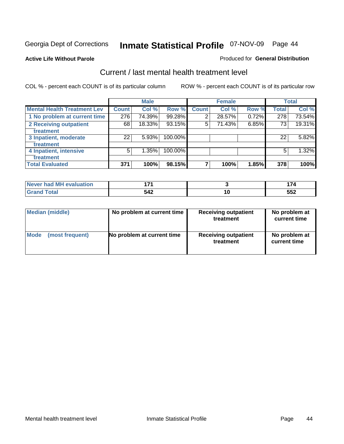**Active Life Without Parole** 

#### Produced for **General Distribution**

### Current / last mental health treatment level

|                                    |              | <b>Male</b> |         |              | <b>Female</b> |       |              | <b>Total</b> |
|------------------------------------|--------------|-------------|---------|--------------|---------------|-------|--------------|--------------|
| <b>Mental Health Treatment Lev</b> | <b>Count</b> | Col %       | Row %   | <b>Count</b> | Col %         | Row % | <b>Total</b> | Col %        |
| 1 No problem at current time       | 276          | 74.39%      | 99.28%  | 2            | 28.57%        | 0.72% | 278          | 73.54%       |
| 2 Receiving outpatient             | 68           | 18.33%      | 93.15%  | 5            | 71.43%        | 6.85% | 73           | 19.31%       |
| treatment                          |              |             |         |              |               |       |              |              |
| 3 Inpatient, moderate              | 22           | 5.93%       | 100.00% |              |               |       | 22           | 5.82%        |
| treatment                          |              |             |         |              |               |       |              |              |
| 4 Inpatient, intensive             | 5            | 1.35%       | 100.00% |              |               |       | 5            | 1.32%        |
| treatment                          |              |             |         |              |               |       |              |              |
| <b>Total Evaluated</b>             | 371          | 100%        | 98.15%  |              | 100%          | 1.85% | 378          | 100%         |

| Never had MH evaluation | ג די | . -         |
|-------------------------|------|-------------|
| $T \wedge f \wedge f$   | 542  | EE^<br>ິບບ∠ |

| <b>Median (middle)</b> | No problem at current time | <b>Receiving outpatient</b><br>treatment | No problem at<br>current time |
|------------------------|----------------------------|------------------------------------------|-------------------------------|
| <b>Mode</b>            | No problem at current time | <b>Receiving outpatient</b>              | No problem at                 |
| (most frequent)        |                            | treatment                                | current time                  |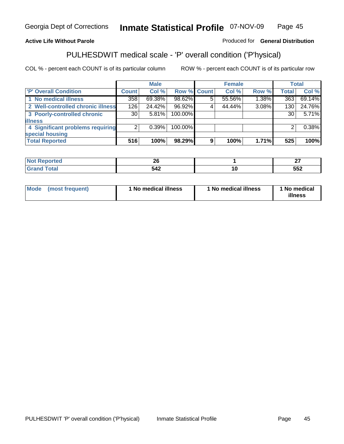### **Active Life Without Parole**

### Produced for **General Distribution**

### PULHESDWIT medical scale - 'P' overall condition ('P'hysical)

|                                   |                 | <b>Male</b> |                    |   | <b>Female</b> |          |              | <b>Total</b> |
|-----------------------------------|-----------------|-------------|--------------------|---|---------------|----------|--------------|--------------|
| 'P' Overall Condition             | <b>Count</b>    | Col %       | <b>Row % Count</b> |   | Col %         | Row %    | <b>Total</b> | Col %        |
| 1 No medical illness              | 358             | 69.38%      | 98.62%             |   | 55.56%        | 1.38%    | 363          | 69.14%       |
| 2 Well-controlled chronic illness | 126             | 24.42%      | 96.92%             |   | 44.44%        | 3.08%    | 130          | 24.76%       |
| 3 Poorly-controlled chronic       | 30 <sub>1</sub> | 5.81%       | 100.00%            |   |               |          | 30           | 5.71%        |
| <b>illness</b>                    |                 |             |                    |   |               |          |              |              |
| 4 Significant problems requiring  | 2               | $0.39\%$    | 100.00%            |   |               |          | 2            | 0.38%        |
| special housing                   |                 |             |                    |   |               |          |              |              |
| <b>Total Reported</b>             | 516             | 100%        | 98.29%             | 9 | 100%          | $1.71\%$ | 525          | 100%         |

| Reported              | n.<br>ZV<br>$\sim$ | $\sim$<br>-- |
|-----------------------|--------------------|--------------|
| <b>Total</b><br>Grand | - 10<br>542        | 552          |

| Mode | (most frequent) | <sup>1</sup> No medical illness | 1 No medical illness | 1 No medical<br>illness |
|------|-----------------|---------------------------------|----------------------|-------------------------|
|------|-----------------|---------------------------------|----------------------|-------------------------|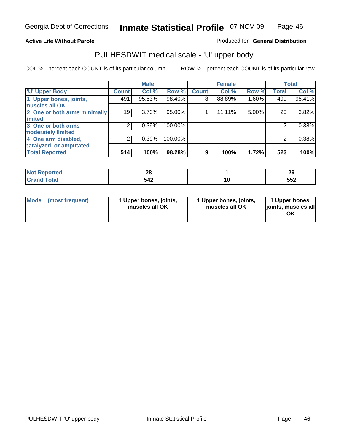### **Active Life Without Parole**

Produced for **General Distribution**

### PULHESDWIT medical scale - 'U' upper body

|                              | <b>Male</b>        |        | <b>Female</b> |              |        | <b>Total</b> |              |          |
|------------------------------|--------------------|--------|---------------|--------------|--------|--------------|--------------|----------|
| <b>U' Upper Body</b>         | Count <sup>1</sup> | Col %  | Row %         | <b>Count</b> | Col %  | Row %        | <b>Total</b> | Col %    |
| 1 Upper bones, joints,       | 491                | 95.53% | 98.40%        | 8            | 88.89% | 1.60%        | 499          | 95.41%   |
| muscles all OK               |                    |        |               |              |        |              |              |          |
| 2 One or both arms minimally | 19                 | 3.70%  | 95.00%        |              | 11.11% | 5.00%        | 20           | $3.82\%$ |
| limited                      |                    |        |               |              |        |              |              |          |
| 3 One or both arms           | 2                  | 0.39%  | 100.00%       |              |        |              | 2            | 0.38%    |
| moderately limited           |                    |        |               |              |        |              |              |          |
| 4 One arm disabled,          | 2                  | 0.39%  | 100.00%       |              |        |              | 2            | 0.38%    |
| paralyzed, or amputated      |                    |        |               |              |        |              |              |          |
| <b>Total Reported</b>        | 514                | 100%   | 98.28%        | 9            | 100%   | 1.72%        | 523          | 100%     |

| rtea<br>N | ΖU         | nr.<br>- 20 |
|-----------|------------|-------------|
| $\sim$    | 54°<br>∸דע | 552         |

|  | Mode (most frequent) | 1 Upper bones, joints,<br>muscles all OK | 1 Upper bones, joints,<br>muscles all OK | 1 Upper bones,<br>joints, muscles all<br>OK |
|--|----------------------|------------------------------------------|------------------------------------------|---------------------------------------------|
|--|----------------------|------------------------------------------|------------------------------------------|---------------------------------------------|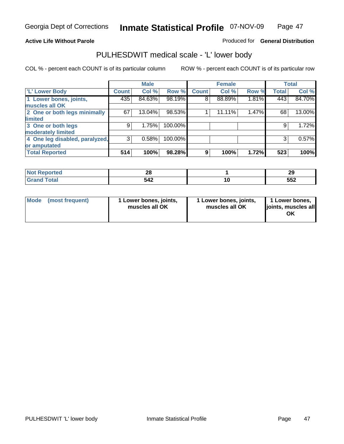#### **Active Life Without Parole**

#### Produced for **General Distribution**

### PULHESDWIT medical scale - 'L' lower body

|                                |              | <b>Male</b> |         |              | <b>Female</b> |       |              | <b>Total</b> |
|--------------------------------|--------------|-------------|---------|--------------|---------------|-------|--------------|--------------|
| 'L' Lower Body                 | <b>Count</b> | Col %       | Row %   | <b>Count</b> | Col %         | Row % | <b>Total</b> | Col %        |
| 1 Lower bones, joints,         | 435          | 84.63%      | 98.19%  | 8            | 88.89%        | 1.81% | 443          | 84.70%       |
| muscles all OK                 |              |             |         |              |               |       |              |              |
| 2 One or both legs minimally   | 67           | 13.04%      | 98.53%  |              | 11.11%        | 1.47% | 68           | 13.00%       |
| limited                        |              |             |         |              |               |       |              |              |
| 3 One or both legs             | 9            | 1.75%       | 100.00% |              |               |       | 9            | 1.72%        |
| moderately limited             |              |             |         |              |               |       |              |              |
| 4 One leg disabled, paralyzed, | 3            | 0.58%       | 100.00% |              |               |       | 3            | 0.57%        |
| or amputated                   |              |             |         |              |               |       |              |              |
| <b>Total Reported</b>          | 514          | 100%        | 98.28%  | 9            | 100%          | 1.72% | 523          | 100%         |

| tet. | ሳር<br>Zv<br>$-$ | nr.<br><b>20</b> |
|------|-----------------|------------------|
| υιαι | 542             | ににつ<br>ືບບ∠      |

|  | Mode (most frequent) | 1 Lower bones, joints,<br>muscles all OK | 1 Lower bones, joints,<br>muscles all OK | 1 Lower bones,<br>joints, muscles all<br>OK |
|--|----------------------|------------------------------------------|------------------------------------------|---------------------------------------------|
|--|----------------------|------------------------------------------|------------------------------------------|---------------------------------------------|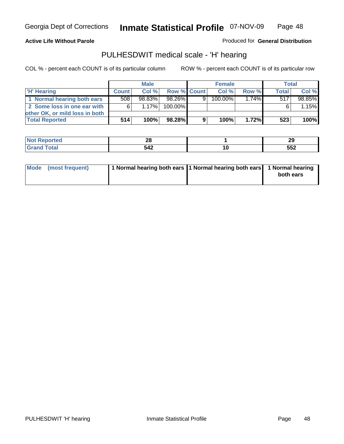#### **Active Life Without Parole**

Produced for **General Distribution**

### PULHESDWIT medical scale - 'H' hearing

|                                | <b>Male</b>  |        | <b>Female</b> |   |         | <b>Total</b> |              |        |
|--------------------------------|--------------|--------|---------------|---|---------|--------------|--------------|--------|
| 'H' Hearing                    | <b>Count</b> | Col%   | Row % Count   |   | Col%    | Row %        | <b>Total</b> | Col %  |
| 1 Normal hearing both ears     | 508          | 98.83% | 98.26%        | 9 | 100.00% | $1.74\%$     | 517          | 98.85% |
| 2 Some loss in one ear with    | 6            | 1.17%  | 100.00%       |   |         |              |              | 1.15%  |
| other OK, or mild loss in both |              |        |               |   |         |              |              |        |
| <b>Total Reported</b>          | 514          | 100%   | 98.28%        | 9 | 100%    | $1.72\%$     | 523          | 100%   |

| .   | n.<br>--<br>$-$          |           | . .<br>29  |
|-----|--------------------------|-----------|------------|
| --- | <br>$\sim$<br>$-1$ , $-$ | 10<br>$-$ | --^<br>◡◡▴ |

| 1 Normal hearing both ears 1 Normal hearing both ears 1 Normal hearing<br>Mode (most frequent)<br>both ears |
|-------------------------------------------------------------------------------------------------------------|
|-------------------------------------------------------------------------------------------------------------|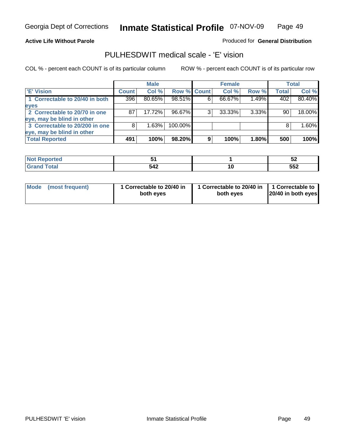#### **Active Life Without Parole**

### Produced for **General Distribution**

### PULHESDWIT medical scale - 'E' vision

|                                |              | <b>Male</b> |                    |   | <b>Female</b> |          |              | Total  |
|--------------------------------|--------------|-------------|--------------------|---|---------------|----------|--------------|--------|
| <b>E' Vision</b>               | <b>Count</b> | Col %       | <b>Row % Count</b> |   | Col %         | Row %    | <b>Total</b> | Col %  |
| 1 Correctable to 20/40 in both | 396          | 80.65%      | 98.51%             | 6 | 66.67%        | 1.49%    | 402          | 80.40% |
| eyes                           |              |             |                    |   |               |          |              |        |
| 2 Correctable to 20/70 in one  | 87           | 17.72%      | 96.67%             |   | 33.33%        | $3.33\%$ | 90           | 18.00% |
| eye, may be blind in other     |              |             |                    |   |               |          |              |        |
| 3 Correctable to 20/200 in one | 8            | 1.63%       | 100.00%            |   |               |          | 8            | 1.60%  |
| eye, may be blind in other     |              |             |                    |   |               |          |              |        |
| <b>Total Reported</b>          | 491          | 100%        | 98.20%             | 9 | 100%          | 1.80%    | 500          | 100%   |

| .                 |                   | ◡▵         |
|-------------------|-------------------|------------|
| $- - - - - - - -$ | $51^\circ$<br>∽−⊷ | --0<br>ວວ∠ |

|  | Mode (most frequent) | 1 Correctable to 20/40 in<br>both eyes | 1 Correctable to 20/40 in   1 Correctable to<br>both eyes | 20/40 in both eyes |
|--|----------------------|----------------------------------------|-----------------------------------------------------------|--------------------|
|--|----------------------|----------------------------------------|-----------------------------------------------------------|--------------------|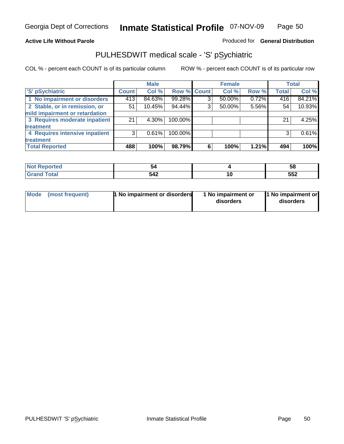### **Active Life Without Parole**

### Produced for **General Distribution**

# PULHESDWIT medical scale - 'S' pSychiatric

|                                |                    | <b>Male</b> |             |   | <b>Female</b> |       |              | <b>Total</b> |
|--------------------------------|--------------------|-------------|-------------|---|---------------|-------|--------------|--------------|
| 'S' pSychiatric                | Count <sup>'</sup> | Col %       | Row % Count |   | Col %         | Row % | <b>Total</b> | Col %        |
| 1 No impairment or disorders   | 413                | 84.63%      | 99.28%      | 3 | $50.00\%$     | 0.72% | 416          | 84.21%       |
| 2 Stable, or in remission, or  | 51                 | 10.45%      | 94.44%      | 3 | 50.00%        | 5.56% | 54           | 10.93%       |
| mild impairment or retardation |                    |             |             |   |               |       |              |              |
| 3 Requires moderate inpatient  | 21                 | $4.30\%$    | 100.00%     |   |               |       | 21           | 4.25%        |
| treatment                      |                    |             |             |   |               |       |              |              |
| 4 Requires intensive inpatient | 3                  | 0.61%       | 100.00%     |   |               |       |              | 0.61%        |
| treatment                      |                    |             |             |   |               |       |              |              |
| <b>Total Reported</b>          | 488                | 100%        | 98.79%      | 6 | 100%          | 1.21% | 494          | 100%         |

| prtea<br>$\sim$ |     |     | ၁၀  |
|-----------------|-----|-----|-----|
|                 | 542 | l O | 552 |

|  | Mode (most frequent) | 1 No impairment or disorders | 1 No impairment or<br>disorders | 1 No impairment or<br>disorders |
|--|----------------------|------------------------------|---------------------------------|---------------------------------|
|--|----------------------|------------------------------|---------------------------------|---------------------------------|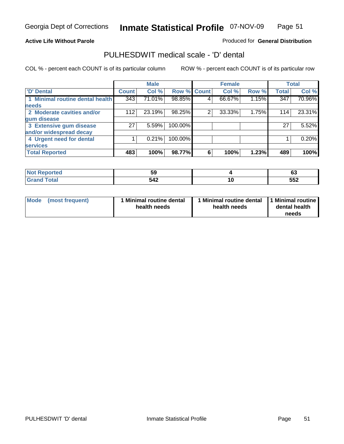### **Active Life Without Parole**

### Produced for **General Distribution**

### PULHESDWIT medical scale - 'D' dental

|                                 |              | <b>Male</b> |                    |   | <b>Female</b> |       |              | <b>Total</b> |
|---------------------------------|--------------|-------------|--------------------|---|---------------|-------|--------------|--------------|
| 'D' Dental                      | <b>Count</b> | Col %       | <b>Row % Count</b> |   | Col %         | Row % | <b>Total</b> | Col %        |
| 1 Minimal routine dental health | 343          | 71.01%      | 98.85%             | 4 | 66.67%        | 1.15% | 347          | 70.96%       |
| <b>needs</b>                    |              |             |                    |   |               |       |              |              |
| 2 Moderate cavities and/or      | 112          | 23.19%      | 98.25%             | 2 | 33.33%        | 1.75% | 114          | 23.31%       |
| gum disease                     |              |             |                    |   |               |       |              |              |
| 3 Extensive gum disease         | 27           | 5.59%       | 100.00%            |   |               |       | 27           | 5.52%        |
| and/or widespread decay         |              |             |                    |   |               |       |              |              |
| 4 Urgent need for dental        |              | 0.21%       | 100.00%            |   |               |       |              | 0.20%        |
| <b>services</b>                 |              |             |                    |   |               |       |              |              |
| <b>Total Reported</b>           | 483          | 100%        | 98.77%             | 6 | 100%          | 1.23% | 489          | 100%         |

| <b>Not Reported</b><br>$\sim$ | Ji  |     | r.<br>v. |
|-------------------------------|-----|-----|----------|
| <b>Total</b><br>$\sim$        | 542 | 1 V | 552      |

| <b>Mode</b><br>(most frequent) | <b>Minimal routine dental</b><br>health needs | 1 Minimal routine dental<br>health needs | 11 Minimal routine<br>dental health<br>needs |
|--------------------------------|-----------------------------------------------|------------------------------------------|----------------------------------------------|
|--------------------------------|-----------------------------------------------|------------------------------------------|----------------------------------------------|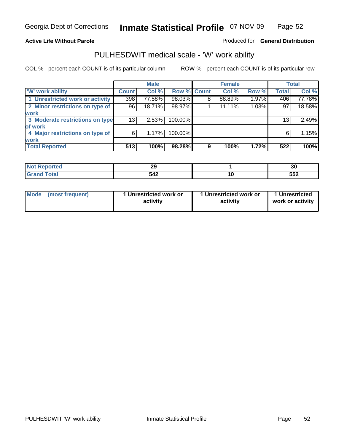### **Active Life Without Parole**

### Produced for **General Distribution**

### PULHESDWIT medical scale - 'W' work ability

|                                 |              | <b>Male</b> |             |   | <b>Female</b> |       |              | <b>Total</b> |
|---------------------------------|--------------|-------------|-------------|---|---------------|-------|--------------|--------------|
| <b>W' work ability</b>          | <b>Count</b> | Col %       | Row % Count |   | Col %         | Row % | <b>Total</b> | Col %        |
| 1 Unrestricted work or activity | 398          | 77.58%      | 98.03%      | 8 | 88.89%        | 1.97% | 406          | 77.78%       |
| 2 Minor restrictions on type of | 96           | 18.71%      | 98.97%      |   | 11.11%        | 1.03% | 97           | 18.58%       |
| <b>work</b>                     |              |             |             |   |               |       |              |              |
| 3 Moderate restrictions on type | 13           | 2.53%       | 100.00%     |   |               |       | 13           | 2.49%        |
| of work                         |              |             |             |   |               |       |              |              |
| 4 Major restrictions on type of | 6            | 1.17%       | 100.00%     |   |               |       | 6            | 1.15%        |
| <b>work</b>                     |              |             |             |   |               |       |              |              |
| <b>Total Reported</b>           | 513          | 100%        | 98.28%      | 9 | 100%          | 1.72% | 522          | 100%         |

| onteto | $\sim$<br>~~ | זכי<br>ას |
|--------|--------------|-----------|
| ⊺ota.  | 542          | 552       |

| Mode (most frequent) | 1 Unrestricted work or<br>activity | 1 Unrestricted work or<br>activity | 1 Unrestricted<br>work or activity |
|----------------------|------------------------------------|------------------------------------|------------------------------------|
|                      |                                    |                                    |                                    |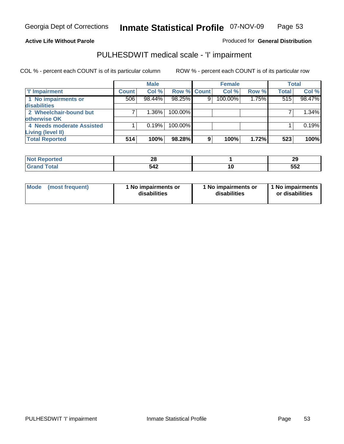#### **Active Life Without Parole**

### Produced for **General Distribution**

### PULHESDWIT medical scale - 'I' impairment

|                           |              | <b>Male</b> |             |   | <b>Female</b> |       |              | <b>Total</b> |
|---------------------------|--------------|-------------|-------------|---|---------------|-------|--------------|--------------|
| <b>T' Impairment</b>      | <b>Count</b> | Col %       | Row % Count |   | Col %         | Row % | <b>Total</b> | Col %        |
| 1 No impairments or       | 506          | 98.44%      | 98.25%      | 9 | 100.00%       | 1.75% | 515          | 98.47%       |
| disabilities              |              |             |             |   |               |       |              |              |
| 2 Wheelchair-bound but    |              | 1.36%       | 100.00%     |   |               |       |              | $1.34\%$     |
| otherwise OK              |              |             |             |   |               |       |              |              |
| 4 Needs moderate Assisted |              | 0.19%       | 100.00%     |   |               |       |              | 0.19%        |
| Living (level II)         |              |             |             |   |               |       |              |              |
| <b>Total Reported</b>     | 514          | 100%        | 98.28%      | 9 | 100%          | 1.72% | 523          | 100%         |

| orted         | oc.<br>ZQ | 29         |
|---------------|-----------|------------|
| <b>c</b> otal | 542       | ББ'<br>◡◡▴ |

| Mode            | 1 No impairments or | 1 No impairments or | 1 No impairments |
|-----------------|---------------------|---------------------|------------------|
| (most frequent) | disabilities        | disabilities        | or disabilities  |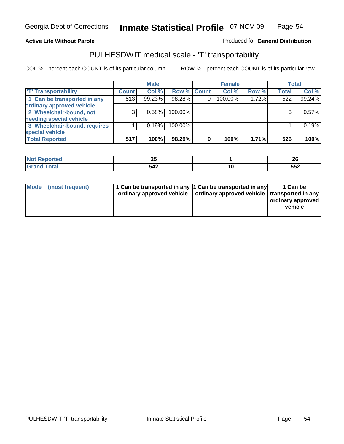#### **Inmate Statistical Profile** 07-NOV-09 Page Page 54

### **Active Life Without Parole Produced fo Seneral Distribution**

### PULHESDWIT medical scale - 'T' transportability

|                              |              | <b>Male</b> |             |   | <b>Female</b> |       |              | <b>Total</b> |
|------------------------------|--------------|-------------|-------------|---|---------------|-------|--------------|--------------|
| <b>T' Transportability</b>   | <b>Count</b> | Col %       | Row % Count |   | Col %         | Row % | <b>Total</b> | Col %        |
| 1 Can be transported in any  | 513          | 99.23%      | 98.28%      | 9 | 100.00%       | 1.72% | 522          | 99.24%       |
| ordinary approved vehicle    |              |             |             |   |               |       |              |              |
| 2 Wheelchair-bound, not      | 3            | 0.58%       | 100.00%     |   |               |       |              | 0.57%        |
| needing special vehicle      |              |             |             |   |               |       |              |              |
| 3 Wheelchair-bound, requires |              | 0.19%       | 100.00%     |   |               |       |              | 0.19%        |
| special vehicle              |              |             |             |   |               |       |              |              |
| <b>Total Reported</b>        | 517          | 100%        | 98.29%      | 9 | 100%          | 1.71% | 526          | 100%         |

| <b>NO1</b>           | n r |     | nr. |
|----------------------|-----|-----|-----|
| <b>ceported</b>      | Δv  |     | ZU  |
| ʻotal                | 542 | u   | ににつ |
| $\sim$ $\sim$ $\sim$ |     | $-$ | ◡◡▵ |

| Mode (most frequent) |  | 1 Can be transported in any 1 Can be transported in any<br>ordinary approved vehicle   ordinary approved vehicle   transported in any | 1 Can be<br>ordinary approved<br>vehicle |
|----------------------|--|---------------------------------------------------------------------------------------------------------------------------------------|------------------------------------------|
|----------------------|--|---------------------------------------------------------------------------------------------------------------------------------------|------------------------------------------|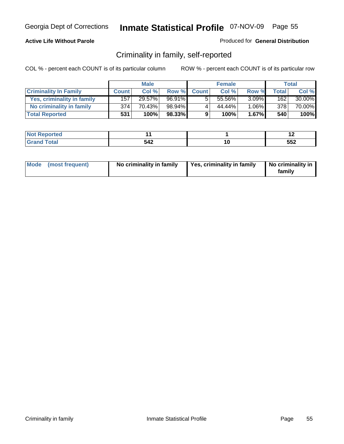### **Active Life Without Parole**

### Produced for **General Distribution**

### Criminality in family, self-reported

|                              | <b>Male</b>  |        | <b>Female</b> |              |        | Total    |       |        |
|------------------------------|--------------|--------|---------------|--------------|--------|----------|-------|--------|
| <b>Criminality In Family</b> | <b>Count</b> | Col %  | Row %         | <b>Count</b> | Col %  | Row %    | Total | Col %  |
| Yes, criminality in family   | 157          | 29.57% | 96.91%        |              | 55.56% | $3.09\%$ | 162   | 30.00% |
| No criminality in family     | 374          | 70.43% | 98.94%        | 4            | 44.44% | $1.06\%$ | 378   | 70.00% |
| <b>Total Reported</b>        | 531          | 100%   | 98.33%        | 9            | 100%   | $1.67\%$ | 540   | 100%   |

| <b>NO</b><br>rtea |          |   | . .               |
|-------------------|----------|---|-------------------|
| -                 | 542<br>ᇬ | u | <u>rra</u><br>◡◡▵ |

| Mode (most frequent) | No criminality in family | Yes, criminality in family | No criminality in<br>family |
|----------------------|--------------------------|----------------------------|-----------------------------|
|----------------------|--------------------------|----------------------------|-----------------------------|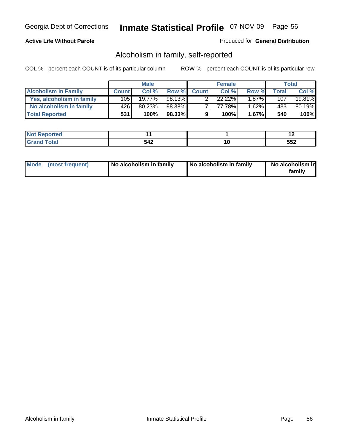### **Active Life Without Parole**

### Produced for **General Distribution**

### Alcoholism in family, self-reported

|                             | <b>Male</b>  |        | <b>Female</b> |              |        | Total |                  |        |
|-----------------------------|--------------|--------|---------------|--------------|--------|-------|------------------|--------|
| <b>Alcoholism In Family</b> | <b>Count</b> | Col %  | Row %         | <b>Count</b> | Col %  | Row % | Total            | Col %  |
| Yes, alcoholism in family   | 105          | 19.77% | 98.13%        |              | 22.22% | 1.87% | 107              | 19.81% |
| No alcoholism in family     | 426'         | 80.23% | 98.38%        |              | 77.78% | 1.62% | 433 <sup>1</sup> | 80.19% |
| <b>Total Reported</b>       | 531          | 100%   | 98.33%        | 9            | 100%   | 1.67% | 540              | 100%   |

| <b>NO</b><br>rtea |          |   | . .               |
|-------------------|----------|---|-------------------|
| -                 | 542<br>ᇬ | u | <u>rra</u><br>◡◡▵ |

|  | Mode (most frequent) | No alcoholism in family | No alcoholism in family | No alcoholism in<br>familv |
|--|----------------------|-------------------------|-------------------------|----------------------------|
|--|----------------------|-------------------------|-------------------------|----------------------------|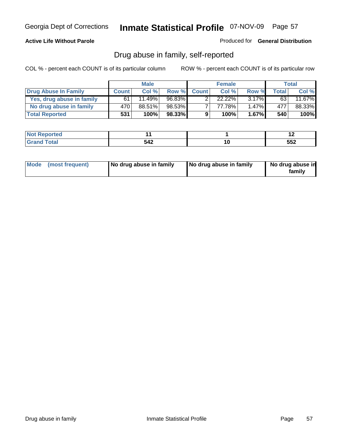### **Active Life Without Parole**

Produced for **General Distribution**

### Drug abuse in family, self-reported

|                           | <b>Male</b>  |        | <b>Female</b> |              |        | Total    |              |        |
|---------------------------|--------------|--------|---------------|--------------|--------|----------|--------------|--------|
| Drug Abuse In Family      | <b>Count</b> | Col %  | Row %         | <b>Count</b> | Col %  | Row %    | <b>Total</b> | Col %  |
| Yes, drug abuse in family | 61           | 11.49% | 96.83%        |              | 22.22% | $3.17\%$ | 63           | 11.67% |
| No drug abuse in family   | 470          | 88.51% | 98.53%        | ⇁            | 77.78% | $1.47\%$ | 477          | 88.33% |
| <b>Total Reported</b>     | 531          | 100%   | 98.33%        | 9            | 100%   | $1.67\%$ | 540          | 100%   |

| <b>NO</b><br>τeα |     |    | $\sim$ |
|------------------|-----|----|--------|
| $\sim$           | 549 | .v | --^    |
| $\sim$           | ◞┭▴ |    | ◡◡▴    |

|  | Mode (most frequent) | No drug abuse in family | No drug abuse in family | No drug abuse in<br>family |
|--|----------------------|-------------------------|-------------------------|----------------------------|
|--|----------------------|-------------------------|-------------------------|----------------------------|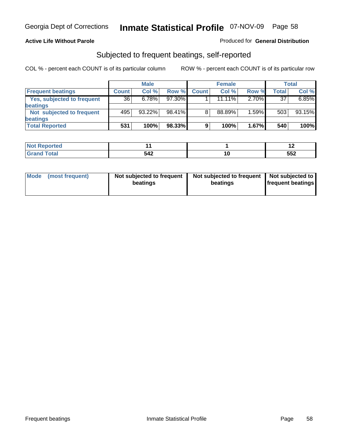### **Active Life Without Parole**

#### Produced for **General Distribution**

### Subjected to frequent beatings, self-reported

|                            | <b>Male</b>  |           |        | <b>Female</b> |           |       | <b>Total</b> |        |
|----------------------------|--------------|-----------|--------|---------------|-----------|-------|--------------|--------|
| <b>Frequent beatings</b>   | <b>Count</b> | Col%      | Row %  | <b>Count</b>  | Col%      | Row % | Total        | Col %  |
| Yes, subjected to frequent | 36           | 6.78%     | 97.30% |               | $11.11\%$ | 2.70% | 37           | 6.85%  |
| <b>beatings</b>            |              |           |        |               |           |       |              |        |
| Not subjected to frequent  | 495          | $93.22\%$ | 98.41% | 8             | 88.89%    | 1.59% | 503          | 93.15% |
| <b>beatings</b>            |              |           |        |               |           |       |              |        |
| <b>Total Reported</b>      | 531          | 100%      | 98.33% | 9             | 100%      | 1.67% | 540          | 100%   |

| <b><i>Contractor</i></b><br>rtea<br>w<br>. |                         | . .           |
|--------------------------------------------|-------------------------|---------------|
| $C = 4 - 7$                                | 542 <sup>-</sup><br>◞┭▴ | - - ^<br>ິບບ∠ |

| Mode<br>(most frequent) | beatings | Not subjected to frequent | Not subjected to frequent<br>beatings | Not subjected to<br><b>frequent beatings</b> |
|-------------------------|----------|---------------------------|---------------------------------------|----------------------------------------------|
|                         |          |                           |                                       |                                              |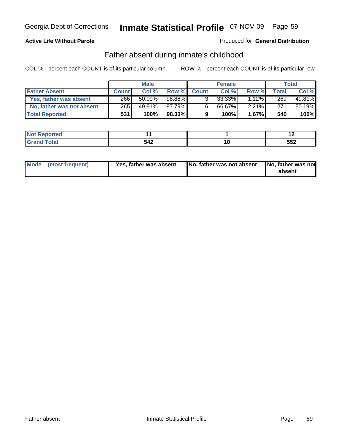### **Active Life Without Parole**

### Produced for **General Distribution**

### Father absent during inmate's childhood

|                           | <b>Male</b>  |         |           |                | <b>Female</b> | Total    |       |        |
|---------------------------|--------------|---------|-----------|----------------|---------------|----------|-------|--------|
| <b>Father Absent</b>      | <b>Count</b> | Col%    | Row %     | <b>Count</b>   | Col %         | Row %    | Total | Col %  |
| Yes, father was absent    | 266          | 50.09%  | $98.88\%$ | 3 <sub>1</sub> | 33.33%        | 12%      | 269   | 49.81% |
| No, father was not absent | 265          | 49.91%  | 97.79% ∎  | $6^{\circ}$    | 66.67%        | $2.21\%$ | 271   | 50.19% |
| <b>Total Reported</b>     | 531          | $100\%$ | $98.33\%$ | 9              | 100%          | $1.67\%$ | 540   | 100%   |

| <b>Not Reported</b> |     |        | . . |
|---------------------|-----|--------|-----|
| <b>cotal</b>        | 542 | u      | 552 |
| l Gran              | ◡┭▵ | $\sim$ |     |

| Mode (most frequent) | Yes, father was absent | No, father was not absent No, father was not | absent |
|----------------------|------------------------|----------------------------------------------|--------|
|                      |                        |                                              |        |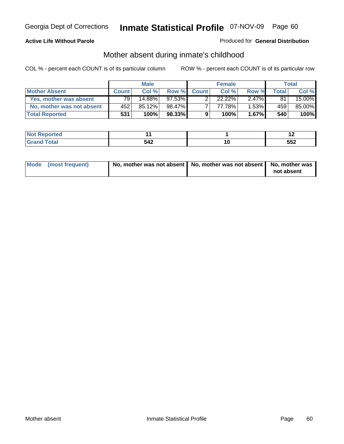### **Active Life Without Parole**

### Produced for **General Distribution**

# Mother absent during inmate's childhood

|                           | <b>Male</b>  |        |           |              | <b>Female</b> | Total    |       |        |
|---------------------------|--------------|--------|-----------|--------------|---------------|----------|-------|--------|
| <b>Mother Absent</b>      | <b>Count</b> | Col %  | Row %     | <b>Count</b> | Col %         | Row %    | Total | Col %  |
| Yes, mother was absent    | 79 I         | 14.88% | $97.53\%$ |              | $22.22\%$     | $2.47\%$ | 81    | 15.00% |
| No, mother was not absent | 452          | 85.12% | 98.47%    |              | 77.78%        | $1.53\%$ | 459   | 85.00% |
| <b>Total Reported</b>     | 531          | 100%   | 98.33%    | 9            | 100%          | $1.67\%$ | 540   | 100%   |

| <b>Not Reported</b> |     |        | . . |
|---------------------|-----|--------|-----|
| <b>cotal</b>        | 542 | u      | 552 |
| l Gran              | ◡┭▵ | $\sim$ |     |

| Mode (most frequent) | No, mother was not absent   No, mother was not absent   No, mother was | not absent |
|----------------------|------------------------------------------------------------------------|------------|
|----------------------|------------------------------------------------------------------------|------------|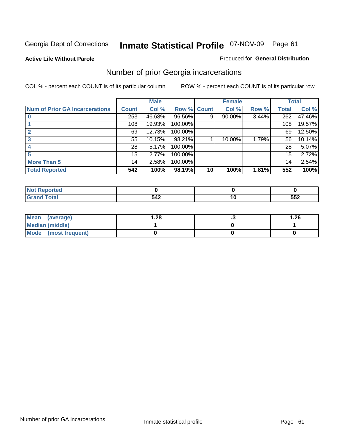**Active Life Without Parole** 

#### Produced for **General Distribution**

### Number of prior Georgia incarcerations

|                                |                 | <b>Male</b> |                    |    | <b>Female</b> |       |       | <b>Total</b> |
|--------------------------------|-----------------|-------------|--------------------|----|---------------|-------|-------|--------------|
| Num of Prior GA Incarcerations | <b>Count</b>    | Col %       | <b>Row % Count</b> |    | Col %         | Row % | Total | Col %        |
|                                | 253             | 46.68%      | 96.56%             | 9  | 90.00%        | 3.44% | 262   | 47.46%       |
|                                | 108             | 19.93%      | 100.00%            |    |               |       | 108   | 19.57%       |
|                                | 69              | 12.73%      | 100.00%            |    |               |       | 69    | 12.50%       |
|                                | 55              | 10.15%      | 98.21%             |    | 10.00%        | 1.79% | 56    | 10.14%       |
|                                | 28              | 5.17%       | 100.00%            |    |               |       | 28    | 5.07%        |
|                                | 15              | 2.77%       | 100.00%            |    |               |       | 15    | 2.72%        |
| <b>More Than 5</b>             | 14 <sub>1</sub> | 2.58%       | 100.00%            |    |               |       | 14    | 2.54%        |
| <b>Total Reported</b>          | 542             | 100%        | 98.19%             | 10 | 100%          | 1.81% | 552   | 100%         |

| <b>Reported</b><br>NI. |     |             |
|------------------------|-----|-------------|
| otal<br>$\sim$         | ∽−⊷ | ににつ<br>ິບບ∠ |

| Mean (average)       | . .28 | .26 |
|----------------------|-------|-----|
| Median (middle)      |       |     |
| Mode (most frequent) |       |     |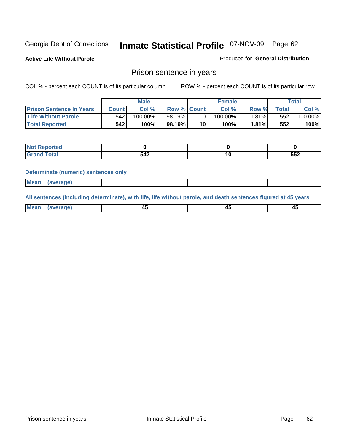**Active Life Without Parole** 

Produced for **General Distribution**

### Prison sentence in years

COL % - percent each COUNT is of its particular column ROW % - percent each COUNT is of its particular row

|                                 |         | <b>Male</b> |                    |                 | <b>Female</b> |          |             | Total   |
|---------------------------------|---------|-------------|--------------------|-----------------|---------------|----------|-------------|---------|
| <b>Prison Sentence In Years</b> | Count l | Col %       | <b>Row % Count</b> |                 | Col %         | Row %    | $\tau$ otal | Col %   |
| <b>Life Without Parole</b>      | 542     | 100.00%     | 98.19%             | 10              | $100.00\%$    | $1.81\%$ | 552         | 100.00% |
| <b>Total Reported</b>           | 542     | 100%        | 98.19%             | 10 <sup>1</sup> | 100%          | 1.81%    | 552         | 100%    |

| Reported                          |     |    |     |
|-----------------------------------|-----|----|-----|
| Total<br>$\sim$ . $\sim$ . $\sim$ | 542 | יי | 552 |

#### **Determinate (numeric) sentences only**

| <b>Mean</b> | (average) |  |  |
|-------------|-----------|--|--|

**All sentences (including determinate), with life, life without parole, and death sentences figured at 45 years**

| Me:<br>апет<br>.<br>᠇<br>$\sim$ | -- | т.<br>$\sim$ |
|---------------------------------|----|--------------|
|---------------------------------|----|--------------|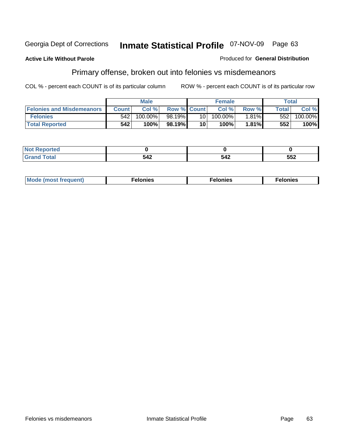#### **Active Life Without Parole**

#### Produced for **General Distribution**

# Primary offense, broken out into felonies vs misdemeanors

|                                  |              | <b>Male</b> |                    |      | <b>Female</b> |          | Total            |            |
|----------------------------------|--------------|-------------|--------------------|------|---------------|----------|------------------|------------|
| <b>Felonies and Misdemeanors</b> | <b>Count</b> | Col%        | <b>Row % Count</b> |      | Col%          | Row %    | <b>Total</b>     | Col %      |
| <b>Felonies</b>                  | 542          | 100.00%     | 98.19% <b>I</b>    | 10 I | $100.00\%$    | $1.81\%$ | 552 <sub>1</sub> | $100.00\%$ |
| <b>Total Reported</b>            | 542          | 100%        | 98.19%             | 10   | 100%          | 1.81%    | 552              | 100%       |

| <b>Not</b><br>orted<br>⋯ |            |      |     |
|--------------------------|------------|------|-----|
| Grat                     | $51^\circ$ | r 10 | 552 |
| -----                    | ◡᠇▵        | 54Z  |     |

| M<br>$\cdots$<br>пю.<br>. | nies<br>. | . |
|---------------------------|-----------|---|
|---------------------------|-----------|---|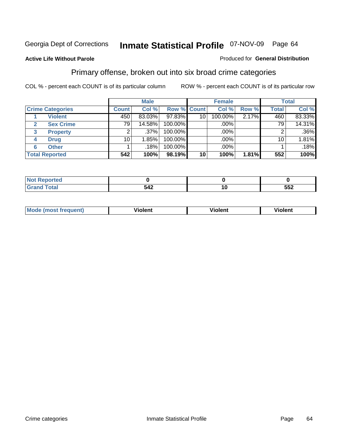### **Active Life Without Parole**

#### Produced for **General Distribution**

### Primary offense, broken out into six broad crime categories

|                         |              | <b>Male</b> |             |    | <b>Female</b> |       |                 | <b>Total</b> |
|-------------------------|--------------|-------------|-------------|----|---------------|-------|-----------------|--------------|
| <b>Crime Categories</b> | <b>Count</b> | Col %       | Row % Count |    | Col %         | Row % | <b>Total</b>    | Col %        |
| <b>Violent</b>          | 450          | 83.03%      | 97.83%      | 10 | 100.00%       | 2.17% | 460             | 83.33%       |
| <b>Sex Crime</b>        | 79           | 14.58%      | 100.00%     |    | .00%          |       | 79 <sub>1</sub> | 14.31%       |
| <b>Property</b><br>3    |              | $.37\%$     | 100.00%     |    | .00%          |       |                 | $.36\%$      |
| <b>Drug</b><br>4        | 10           | 1.85%       | 100.00%     |    | .00%          |       | 10 <sub>1</sub> | 1.81%        |
| <b>Other</b><br>6       |              | .18%        | 100.00%     |    | .00%          |       |                 | .18%         |
| <b>Total Reported</b>   | 542          | 100%        | 98.19%      | 10 | 100%          | 1.81% | 552             | 100%         |

| <b>Reported</b><br>.            |     |    |     |
|---------------------------------|-----|----|-----|
| <b>Total</b><br>$\mathsf{C}$ nu | 542 | ιu | 552 |

| Mo | n n | winlor" | len' |
|----|-----|---------|------|
|    |     |         |      |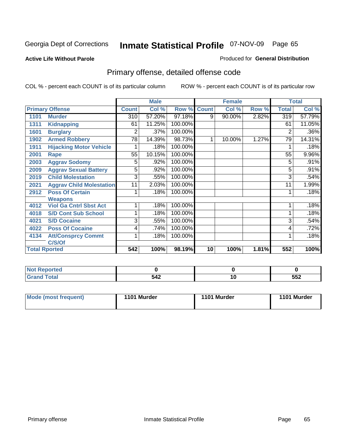#### **Active Life Without Parole**

#### Produced for **General Distribution**

# Primary offense, detailed offense code

|      |                                 |                 | <b>Male</b> |         |              | <b>Female</b> |       |                 | <b>Total</b> |
|------|---------------------------------|-----------------|-------------|---------|--------------|---------------|-------|-----------------|--------------|
|      | <b>Primary Offense</b>          | <b>Count</b>    | Col %       | Row %   | <b>Count</b> | Col %         | Row % | <b>Total</b>    | Col %        |
| 1101 | <b>Murder</b>                   | 310             | 57.20%      | 97.18%  | 9            | 90.00%        | 2.82% | 319             | 57.79%       |
| 1311 | <b>Kidnapping</b>               | 61              | 11.25%      | 100.00% |              |               |       | 61              | 11.05%       |
| 1601 | <b>Burglary</b>                 | 2               | .37%        | 100.00% |              |               |       | $\overline{2}$  | .36%         |
| 1902 | <b>Armed Robbery</b>            | $\overline{78}$ | 14.39%      | 98.73%  |              | 10.00%        | 1.27% | $\overline{79}$ | 14.31%       |
| 1911 | <b>Hijacking Motor Vehicle</b>  |                 | .18%        | 100.00% |              |               |       |                 | .18%         |
| 2001 | Rape                            | 55              | 10.15%      | 100.00% |              |               |       | 55              | 9.96%        |
| 2003 | <b>Aggrav Sodomy</b>            | 5               | .92%        | 100.00% |              |               |       | 5               | .91%         |
| 2009 | <b>Aggrav Sexual Battery</b>    | 5               | .92%        | 100.00% |              |               |       | 5               | $.91\%$      |
| 2019 | <b>Child Molestation</b>        | 3               | .55%        | 100.00% |              |               |       | 3               | .54%         |
| 2021 | <b>Aggrav Child Molestation</b> | 11              | 2.03%       | 100.00% |              |               |       | 11              | 1.99%        |
| 2912 | <b>Poss Of Certain</b>          |                 | .18%        | 100.00% |              |               |       |                 | .18%         |
|      | <b>Weapons</b>                  |                 |             |         |              |               |       |                 |              |
| 4012 | <b>Viol Ga Cntrl Sbst Act</b>   |                 | .18%        | 100.00% |              |               |       |                 | .18%         |
| 4018 | <b>S/D Cont Sub School</b>      |                 | .18%        | 100.00% |              |               |       |                 | .18%         |
| 4021 | <b>S/D Cocaine</b>              | 3               | .55%        | 100.00% |              |               |       | 3               | .54%         |
| 4022 | <b>Poss Of Cocaine</b>          | 4               | .74%        | 100.00% |              |               |       | 4               | .72%         |
| 4134 | <b>Att/Consprcy Commt</b>       | 1               | .18%        | 100.00% |              |               |       |                 | .18%         |
|      | C/S/Of                          |                 |             |         |              |               |       |                 |              |
|      | <b>Total Rported</b>            | 542             | 100%        | 98.19%  | 10           | 100%          | 1.81% | 552             | 100%         |

| Reported                         |            |     |     |
|----------------------------------|------------|-----|-----|
| <b>Total</b><br>$\mathbf{v}$ and | 512<br>− с | 1 V | 552 |

| Mode (most frequent) | 1101 Murder | 1101 Murder | 1101 Murder |
|----------------------|-------------|-------------|-------------|
|                      |             |             |             |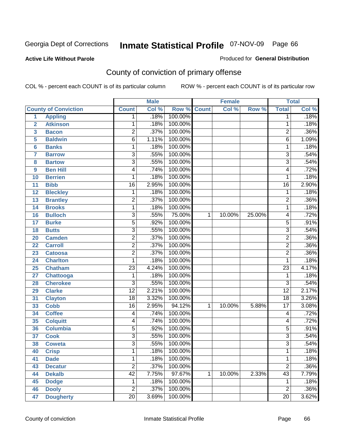**Active Life Without Parole** 

Produced for **General Distribution**

# County of conviction of primary offense

|                         |                             |                 | <b>Male</b> |             |              | <b>Female</b> |        |                 | <b>Total</b> |
|-------------------------|-----------------------------|-----------------|-------------|-------------|--------------|---------------|--------|-----------------|--------------|
|                         | <b>County of Conviction</b> | <b>Count</b>    | Col %       | Row % Count |              | Col %         | Row %  | <b>Total</b>    | Col %        |
| 1                       | <b>Appling</b>              | 1               | .18%        | 100.00%     |              |               |        | 1               | .18%         |
| $\overline{2}$          | <b>Atkinson</b>             | 1               | .18%        | 100.00%     |              |               |        | 1               | .18%         |
| $\overline{\mathbf{3}}$ | <b>Bacon</b>                | $\overline{2}$  | .37%        | 100.00%     |              |               |        | $\overline{2}$  | .36%         |
| 5                       | <b>Baldwin</b>              | $\overline{6}$  | 1.11%       | 100.00%     |              |               |        | 6               | 1.09%        |
| 6                       | <b>Banks</b>                | 1               | .18%        | 100.00%     |              |               |        | $\mathbf{1}$    | .18%         |
| $\overline{7}$          | <b>Barrow</b>               | $\overline{3}$  | .55%        | 100.00%     |              |               |        | $\overline{3}$  | .54%         |
| 8                       | <b>Bartow</b>               | $\overline{3}$  | .55%        | 100.00%     |              |               |        | $\overline{3}$  | .54%         |
| 9                       | <b>Ben Hill</b>             | 4               | .74%        | 100.00%     |              |               |        | 4               | .72%         |
| 10                      | <b>Berrien</b>              | 1               | .18%        | 100.00%     |              |               |        | 1               | .18%         |
| 11                      | <b>Bibb</b>                 | $\overline{16}$ | 2.95%       | 100.00%     |              |               |        | $\overline{16}$ | 2.90%        |
| 12                      | <b>Bleckley</b>             | $\mathbf 1$     | .18%        | 100.00%     |              |               |        | $\mathbf 1$     | .18%         |
| 13                      | <b>Brantley</b>             | $\overline{2}$  | .37%        | 100.00%     |              |               |        | $\overline{2}$  | .36%         |
| 14                      | <b>Brooks</b>               | $\mathbf{1}$    | .18%        | 100.00%     |              |               |        | $\mathbf{1}$    | .18%         |
| 16                      | <b>Bulloch</b>              | $\overline{3}$  | .55%        | 75.00%      | 1            | 10.00%        | 25.00% | 4               | .72%         |
| 17                      | <b>Burke</b>                | $\overline{5}$  | .92%        | 100.00%     |              |               |        | $\overline{5}$  | .91%         |
| 18                      | <b>Butts</b>                | $\overline{3}$  | .55%        | 100.00%     |              |               |        | $\overline{3}$  | .54%         |
| 20                      | <b>Camden</b>               | $\overline{2}$  | .37%        | 100.00%     |              |               |        | $\overline{2}$  | .36%         |
| 22                      | <b>Carroll</b>              | $\overline{2}$  | .37%        | 100.00%     |              |               |        | $\overline{2}$  | .36%         |
| 23                      | <b>Catoosa</b>              | $\overline{2}$  | .37%        | 100.00%     |              |               |        | $\overline{2}$  | .36%         |
| 24                      | <b>Charlton</b>             | 1               | .18%        | 100.00%     |              |               |        | 1               | .18%         |
| 25                      | <b>Chatham</b>              | $\overline{23}$ | 4.24%       | 100.00%     |              |               |        | $\overline{23}$ | 4.17%        |
| 27                      | <b>Chattooga</b>            | 1               | .18%        | 100.00%     |              |               |        | $\mathbf 1$     | .18%         |
| 28                      | <b>Cherokee</b>             | $\overline{3}$  | .55%        | 100.00%     |              |               |        | $\overline{3}$  | .54%         |
| 29                      | <b>Clarke</b>               | $\overline{12}$ | 2.21%       | 100.00%     |              |               |        | $\overline{12}$ | 2.17%        |
| 31                      | <b>Clayton</b>              | $\overline{18}$ | 3.32%       | 100.00%     |              |               |        | $\overline{18}$ | 3.26%        |
| 33                      | <b>Cobb</b>                 | $\overline{16}$ | 2.95%       | 94.12%      | 1            | 10.00%        | 5.88%  | $\overline{17}$ | 3.08%        |
| 34                      | <b>Coffee</b>               | 4               | .74%        | 100.00%     |              |               |        | 4               | .72%         |
| 35                      | <b>Colquitt</b>             | 4               | .74%        | 100.00%     |              |               |        | 4               | .72%         |
| 36                      | <b>Columbia</b>             | 5               | .92%        | 100.00%     |              |               |        | $\overline{5}$  | .91%         |
| 37                      | <b>Cook</b>                 | 3               | .55%        | 100.00%     |              |               |        | $\overline{3}$  | .54%         |
| 38                      | <b>Coweta</b>               | $\overline{3}$  | .55%        | 100.00%     |              |               |        | $\overline{3}$  | .54%         |
| 40                      | <b>Crisp</b>                | 1               | .18%        | 100.00%     |              |               |        | 1               | .18%         |
| 41                      | <b>Dade</b>                 | 1               | .18%        | 100.00%     |              |               |        | 1               | .18%         |
| 43                      | <b>Decatur</b>              | $\overline{2}$  | .37%        | 100.00%     |              |               |        | $\overline{2}$  | .36%         |
| 44                      | <b>Dekalb</b>               | 42              | 7.75%       | 97.67%      | $\mathbf{1}$ | 10.00%        | 2.33%  | $\overline{43}$ | 7.79%        |
| 45                      | <b>Dodge</b>                | 1               | .18%        | 100.00%     |              |               |        | 1               | .18%         |
| 46                      | <b>Dooly</b>                | $\overline{2}$  | .37%        | 100.00%     |              |               |        | $\overline{2}$  | .36%         |
| 47                      | <b>Dougherty</b>            | $\overline{20}$ | 3.69%       | 100.00%     |              |               |        | $\overline{20}$ | 3.62%        |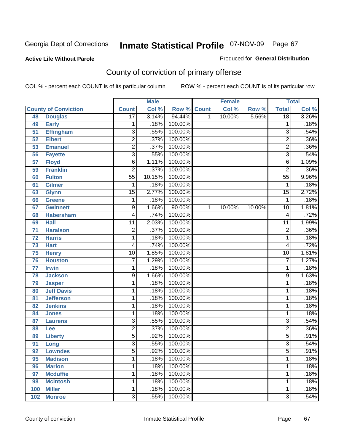#### **Active Life Without Parole**

#### Produced for **General Distribution**

# County of conviction of primary offense

|     |                             |                 | <b>Male</b> |         |              | <b>Female</b> |        |                 | <b>Total</b> |
|-----|-----------------------------|-----------------|-------------|---------|--------------|---------------|--------|-----------------|--------------|
|     | <b>County of Conviction</b> | <b>Count</b>    | Col %       | Row %   | <b>Count</b> | Col %         | Row %  | <b>Total</b>    | Col %        |
| 48  | <b>Douglas</b>              | $\overline{17}$ | 3.14%       | 94.44%  | 1            | 10.00%        | 5.56%  | $\overline{18}$ | 3.26%        |
| 49  | <b>Early</b>                | 1               | .18%        | 100.00% |              |               |        | 1               | .18%         |
| 51  | <b>Effingham</b>            | 3               | .55%        | 100.00% |              |               |        | 3               | .54%         |
| 52  | <b>Elbert</b>               | $\overline{2}$  | .37%        | 100.00% |              |               |        | $\overline{2}$  | .36%         |
| 53  | <b>Emanuel</b>              | $\overline{2}$  | .37%        | 100.00% |              |               |        | $\overline{2}$  | .36%         |
| 56  | <b>Fayette</b>              | $\overline{3}$  | .55%        | 100.00% |              |               |        | $\overline{3}$  | .54%         |
| 57  | <b>Floyd</b>                | $\overline{6}$  | 1.11%       | 100.00% |              |               |        | 6               | 1.09%        |
| 59  | <b>Franklin</b>             | $\overline{2}$  | .37%        | 100.00% |              |               |        | $\overline{2}$  | .36%         |
| 60  | <b>Fulton</b>               | $\overline{55}$ | 10.15%      | 100.00% |              |               |        | $\overline{55}$ | 9.96%        |
| 61  | <b>Gilmer</b>               | 1               | .18%        | 100.00% |              |               |        | 1               | .18%         |
| 63  | <b>Glynn</b>                | $\overline{15}$ | 2.77%       | 100.00% |              |               |        | $\overline{15}$ | 2.72%        |
| 66  | <b>Greene</b>               | 1               | .18%        | 100.00% |              |               |        | 1               | .18%         |
| 67  | <b>Gwinnett</b>             | 9               | 1.66%       | 90.00%  | 1            | 10.00%        | 10.00% | 10              | 1.81%        |
| 68  | <b>Habersham</b>            | 4               | .74%        | 100.00% |              |               |        | 4               | .72%         |
| 69  | <b>Hall</b>                 | $\overline{11}$ | 2.03%       | 100.00% |              |               |        | $\overline{11}$ | 1.99%        |
| 71  | <b>Haralson</b>             | $\overline{2}$  | .37%        | 100.00% |              |               |        | $\overline{2}$  | .36%         |
| 72  | <b>Harris</b>               | 1               | .18%        | 100.00% |              |               |        | 1               | .18%         |
| 73  | <b>Hart</b>                 | 4               | .74%        | 100.00% |              |               |        | 4               | .72%         |
| 75  | <b>Henry</b>                | $\overline{10}$ | 1.85%       | 100.00% |              |               |        | $\overline{10}$ | 1.81%        |
| 76  | <b>Houston</b>              | 7               | 1.29%       | 100.00% |              |               |        | $\overline{7}$  | 1.27%        |
| 77  | <b>Irwin</b>                | 1               | .18%        | 100.00% |              |               |        | 1               | .18%         |
| 78  | <b>Jackson</b>              | $\overline{9}$  | 1.66%       | 100.00% |              |               |        | $\overline{9}$  | 1.63%        |
| 79  | <b>Jasper</b>               | 1               | .18%        | 100.00% |              |               |        | 1               | .18%         |
| 80  | <b>Jeff Davis</b>           | 1               | .18%        | 100.00% |              |               |        | 1               | .18%         |
| 81  | <b>Jefferson</b>            | 1               | .18%        | 100.00% |              |               |        | 1               | .18%         |
| 82  | <b>Jenkins</b>              | 1               | .18%        | 100.00% |              |               |        | 1               | .18%         |
| 84  | <b>Jones</b>                | 1               | .18%        | 100.00% |              |               |        | 1               | .18%         |
| 87  | <b>Laurens</b>              | $\overline{3}$  | .55%        | 100.00% |              |               |        | $\overline{3}$  | .54%         |
| 88  | Lee                         | $\overline{2}$  | .37%        | 100.00% |              |               |        | $\overline{2}$  | .36%         |
| 89  | <b>Liberty</b>              | $\overline{5}$  | .92%        | 100.00% |              |               |        | $\overline{5}$  | .91%         |
| 91  | Long                        | $\overline{3}$  | .55%        | 100.00% |              |               |        | $\overline{3}$  | .54%         |
| 92  | <b>Lowndes</b>              | $\overline{5}$  | .92%        | 100.00% |              |               |        | $\overline{5}$  | .91%         |
| 95  | <b>Madison</b>              | 1               | .18%        | 100.00% |              |               |        | 1               | .18%         |
| 96  | <b>Marion</b>               | 1               | .18%        | 100.00% |              |               |        | 1               | .18%         |
| 97  | <b>Mcduffie</b>             | 1               | .18%        | 100.00% |              |               |        | 1               | .18%         |
| 98  | <b>Mcintosh</b>             | 1               | .18%        | 100.00% |              |               |        | 1               | .18%         |
| 100 | <b>Miller</b>               | 1               | .18%        | 100.00% |              |               |        | 1               | .18%         |
| 102 | <b>Monroe</b>               | $\overline{3}$  | .55%        | 100.00% |              |               |        | $\overline{3}$  | .54%         |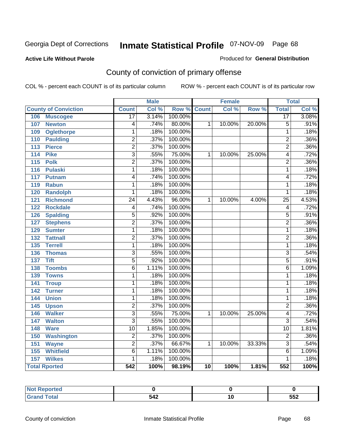**Active Life Without Parole** 

Produced for **General Distribution**

# County of conviction of primary offense

|                                     |                           | <b>Male</b> |         |              | <b>Female</b> |        |                  | <b>Total</b> |
|-------------------------------------|---------------------------|-------------|---------|--------------|---------------|--------|------------------|--------------|
| <b>County of Conviction</b>         | <b>Count</b>              | Col %       | Row %   | <b>Count</b> | Col %         | Row %  | <b>Total</b>     | Col %        |
| 106<br><b>Muscogee</b>              | $\overline{17}$           | 3.14%       | 100.00% |              |               |        | $\overline{17}$  | 3.08%        |
| 107<br><b>Newton</b>                | 4                         | .74%        | 80.00%  | 1            | 10.00%        | 20.00% | $\overline{5}$   | .91%         |
| 109<br><b>Oglethorpe</b>            | 1                         | .18%        | 100.00% |              |               |        | $\mathbf{1}$     | .18%         |
| 110<br><b>Paulding</b>              | $\overline{2}$            | .37%        | 100.00% |              |               |        | $\overline{2}$   | .36%         |
| $\overline{113}$<br><b>Pierce</b>   | $\overline{2}$            | .37%        | 100.00% |              |               |        | $\overline{2}$   | .36%         |
| 114<br><b>Pike</b>                  | $\overline{3}$            | .55%        | 75.00%  | 1            | 10.00%        | 25.00% | 4                | .72%         |
| 115<br><b>Polk</b>                  | $\overline{2}$            | .37%        | 100.00% |              |               |        | $\overline{2}$   | .36%         |
| <b>Pulaski</b><br>116               | $\overline{1}$            | .18%        | 100.00% |              |               |        | $\overline{1}$   | .18%         |
| 117<br><b>Putnam</b>                | 4                         | .74%        | 100.00% |              |               |        | 4                | .72%         |
| 119<br><b>Rabun</b>                 | 1                         | .18%        | 100.00% |              |               |        | $\mathbf{1}$     | .18%         |
| <b>Randolph</b><br>120              | 1                         | .18%        | 100.00% |              |               |        | $\mathbf{1}$     | .18%         |
| $\overline{121}$<br><b>Richmond</b> | $\overline{24}$           | 4.43%       | 96.00%  | 1            | 10.00%        | 4.00%  | $\overline{25}$  | 4.53%        |
| <b>Rockdale</b><br>122              | 4                         | .74%        | 100.00% |              |               |        | 4                | .72%         |
| <b>Spalding</b><br>126              | $\overline{5}$            | .92%        | 100.00% |              |               |        | $\overline{5}$   | .91%         |
| <b>Stephens</b><br>127              | $\overline{2}$            | .37%        | 100.00% |              |               |        | $\overline{2}$   | .36%         |
| <b>Sumter</b><br>129                | 1                         | .18%        | 100.00% |              |               |        | 1                | .18%         |
| <b>Tattnall</b><br>132              | $\overline{2}$            | .37%        | 100.00% |              |               |        | $\overline{2}$   | .36%         |
| <b>Terrell</b><br>135               | 1                         | .18%        | 100.00% |              |               |        | $\mathbf{1}$     | .18%         |
| 136<br><b>Thomas</b>                | $\overline{3}$            | .55%        | 100.00% |              |               |        | $\overline{3}$   | .54%         |
| <b>Tift</b><br>137                  | $\overline{5}$            | .92%        | 100.00% |              |               |        | $\overline{5}$   | .91%         |
| <b>Toombs</b><br>138                | $\overline{6}$            | 1.11%       | 100.00% |              |               |        | $\overline{6}$   | 1.09%        |
| 139<br><b>Towns</b>                 | 1                         | .18%        | 100.00% |              |               |        | 1                | .18%         |
| 141<br><b>Troup</b>                 | 1                         | .18%        | 100.00% |              |               |        | $\mathbf{1}$     | .18%         |
| 142<br><b>Turner</b>                | 1                         | .18%        | 100.00% |              |               |        | $\mathbf{1}$     | .18%         |
| 144<br><b>Union</b>                 | $\overline{1}$            | .18%        | 100.00% |              |               |        | $\overline{1}$   | .18%         |
| 145<br><b>Upson</b>                 | $\overline{2}$            | .37%        | 100.00% |              |               |        | $\overline{2}$   | .36%         |
| <b>Walker</b><br>146                | $\overline{3}$            | .55%        | 75.00%  | 1            | 10.00%        | 25.00% | 4                | .72%         |
| <b>Walton</b><br>147                | $\overline{\overline{3}}$ | .55%        | 100.00% |              |               |        | $\overline{3}$   | .54%         |
| 148<br><b>Ware</b>                  | $\overline{10}$           | 1.85%       | 100.00% |              |               |        | $\overline{10}$  | 1.81%        |
| 150<br><b>Washington</b>            | $\overline{2}$            | .37%        | 100.00% |              |               |        | $\overline{2}$   | .36%         |
| 151<br><b>Wayne</b>                 | $\overline{2}$            | .37%        | 66.67%  | 1            | 10.00%        | 33.33% | $\overline{3}$   | .54%         |
| <b>Whitfield</b><br>155             | 6                         | 1.11%       | 100.00% |              |               |        | 6                | 1.09%        |
| <b>Wilkes</b><br>$\overline{157}$   | 1                         | .18%        | 100.00% |              |               |        | 1                | .18%         |
| <b>Total Rported</b>                | $\overline{542}$          | 100%        | 98.19%  | 10           | 100%          | 1.81%  | $\overline{552}$ | 100%         |

| ттео |     |             |
|------|-----|-------------|
|      | 542 | --^<br>ິບບ∠ |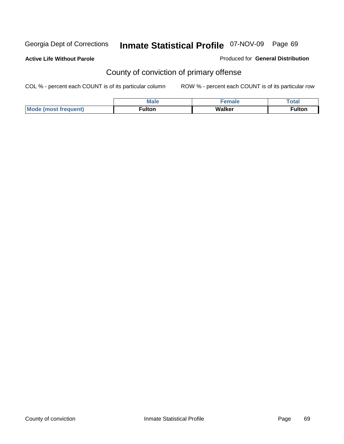**Active Life Without Parole** 

Produced for **General Distribution**

# County of conviction of primary offense

|                             | <b>Male</b>        | <b>SPACE</b> | Total                          |
|-----------------------------|--------------------|--------------|--------------------------------|
| Mode<br>`frequent)<br>lmost | ulton <sup>-</sup> | Walker       | $\overline{\phantom{a}}$ ulton |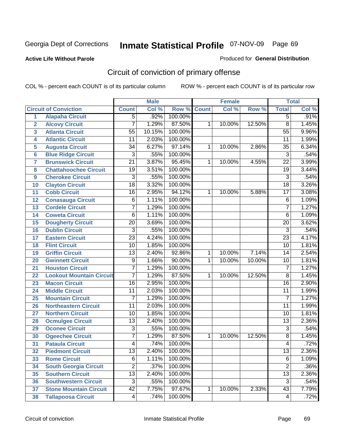### **Active Life Without Parole**

### Produced for **General Distribution**

# Circuit of conviction of primary offense

|                         |                                 |                 | <b>Male</b> |         |              | <b>Female</b> |        |                 | <b>Total</b> |
|-------------------------|---------------------------------|-----------------|-------------|---------|--------------|---------------|--------|-----------------|--------------|
|                         | <b>Circuit of Conviction</b>    | <b>Count</b>    | Col %       | Row %   | <b>Count</b> | Col %         | Row %  | <b>Total</b>    | Col %        |
| $\overline{1}$          | <b>Alapaha Circuit</b>          | $\overline{5}$  | .92%        | 100.00% |              |               |        | $\overline{5}$  | .91%         |
| $\overline{2}$          | <b>Alcovy Circuit</b>           | $\overline{7}$  | 1.29%       | 87.50%  | 1            | 10.00%        | 12.50% | $\overline{8}$  | 1.45%        |
| $\overline{\mathbf{3}}$ | <b>Atlanta Circuit</b>          | $\overline{55}$ | 10.15%      | 100.00% |              |               |        | $\overline{55}$ | 9.96%        |
| 4                       | <b>Atlantic Circuit</b>         | $\overline{11}$ | 2.03%       | 100.00% |              |               |        | $\overline{11}$ | 1.99%        |
| 5                       | <b>Augusta Circuit</b>          | $\overline{34}$ | 6.27%       | 97.14%  | 1            | 10.00%        | 2.86%  | $\overline{35}$ | 6.34%        |
| $\overline{6}$          | <b>Blue Ridge Circuit</b>       | $\overline{3}$  | .55%        | 100.00% |              |               |        | $\overline{3}$  | .54%         |
| $\overline{7}$          | <b>Brunswick Circuit</b>        | $\overline{21}$ | 3.87%       | 95.45%  | 1            | 10.00%        | 4.55%  | $\overline{22}$ | 3.99%        |
| 8                       | <b>Chattahoochee Circuit</b>    | $\overline{19}$ | 3.51%       | 100.00% |              |               |        | $\overline{19}$ | 3.44%        |
| 9                       | <b>Cherokee Circuit</b>         | $\overline{3}$  | .55%        | 100.00% |              |               |        | $\overline{3}$  | .54%         |
| 10                      | <b>Clayton Circuit</b>          | $\overline{18}$ | 3.32%       | 100.00% |              |               |        | $\overline{18}$ | 3.26%        |
| 11                      | <b>Cobb Circuit</b>             | $\overline{16}$ | 2.95%       | 94.12%  | 1            | 10.00%        | 5.88%  | $\overline{17}$ | 3.08%        |
| 12                      | <b>Conasauga Circuit</b>        | $\overline{6}$  | 1.11%       | 100.00% |              |               |        | $\overline{6}$  | 1.09%        |
| 13                      | <b>Cordele Circuit</b>          | 7               | 1.29%       | 100.00% |              |               |        | $\overline{7}$  | 1.27%        |
| $\overline{14}$         | <b>Coweta Circuit</b>           | 6               | 1.11%       | 100.00% |              |               |        | $\overline{6}$  | 1.09%        |
| 15                      | <b>Dougherty Circuit</b>        | $\overline{20}$ | 3.69%       | 100.00% |              |               |        | $\overline{20}$ | 3.62%        |
| 16                      | <b>Dublin Circuit</b>           | $\overline{3}$  | .55%        | 100.00% |              |               |        | $\overline{3}$  | .54%         |
| 17                      | <b>Eastern Circuit</b>          | $\overline{23}$ | 4.24%       | 100.00% |              |               |        | $\overline{23}$ | 4.17%        |
| 18                      | <b>Flint Circuit</b>            | $\overline{10}$ | 1.85%       | 100.00% |              |               |        | $\overline{10}$ | 1.81%        |
| 19                      | <b>Griffin Circuit</b>          | $\overline{13}$ | 2.40%       | 92.86%  | 1            | 10.00%        | 7.14%  | 14              | 2.54%        |
| 20                      | <b>Gwinnett Circuit</b>         | 9               | 1.66%       | 90.00%  | 1            | 10.00%        | 10.00% | $\overline{10}$ | 1.81%        |
| 21                      | <b>Houston Circuit</b>          | 7               | 1.29%       | 100.00% |              |               |        | $\overline{7}$  | 1.27%        |
| 22                      | <b>Lookout Mountain Circuit</b> | $\overline{7}$  | 1.29%       | 87.50%  | 1            | 10.00%        | 12.50% | $\overline{8}$  | 1.45%        |
| 23                      | <b>Macon Circuit</b>            | $\overline{16}$ | 2.95%       | 100.00% |              |               |        | $\overline{16}$ | 2.90%        |
| 24                      | <b>Middle Circuit</b>           | 11              | 2.03%       | 100.00% |              |               |        | $\overline{11}$ | 1.99%        |
| 25                      | <b>Mountain Circuit</b>         | $\overline{7}$  | 1.29%       | 100.00% |              |               |        | $\overline{7}$  | 1.27%        |
| 26                      | <b>Northeastern Circuit</b>     | $\overline{11}$ | 2.03%       | 100.00% |              |               |        | $\overline{11}$ | 1.99%        |
| 27                      | <b>Northern Circuit</b>         | $\overline{10}$ | 1.85%       | 100.00% |              |               |        | $\overline{10}$ | 1.81%        |
| 28                      | <b>Ocmulgee Circuit</b>         | $\overline{13}$ | 2.40%       | 100.00% |              |               |        | $\overline{13}$ | 2.36%        |
| 29                      | <b>Oconee Circuit</b>           | $\overline{3}$  | .55%        | 100.00% |              |               |        | $\overline{3}$  | .54%         |
| 30                      | <b>Ogeechee Circuit</b>         | $\overline{7}$  | 1.29%       | 87.50%  | 1            | 10.00%        | 12.50% | $\overline{8}$  | 1.45%        |
| $\overline{31}$         | <b>Pataula Circuit</b>          | 4               | .74%        | 100.00% |              |               |        | 4               | .72%         |
| 32                      | <b>Piedmont Circuit</b>         | 13              | 2.40%       | 100.00% |              |               |        | 13              | 2.36%        |
| 33                      | <b>Rome Circuit</b>             | $\overline{6}$  | 1.11%       | 100.00% |              |               |        | $\overline{6}$  | 1.09%        |
| 34                      | <b>South Georgia Circuit</b>    | $\overline{2}$  | .37%        | 100.00% |              |               |        | $\overline{2}$  | .36%         |
| 35                      | <b>Southern Circuit</b>         | $\overline{13}$ | 2.40%       | 100.00% |              |               |        | $\overline{13}$ | 2.36%        |
| 36                      | <b>Southwestern Circuit</b>     | $\overline{3}$  | .55%        | 100.00% |              |               |        | $\overline{3}$  | .54%         |
| 37                      | <b>Stone Mountain Circuit</b>   | $\overline{42}$ | 7.75%       | 97.67%  | 1            | 10.00%        | 2.33%  | 43              | 7.79%        |
| 38                      | <b>Tallapoosa Circuit</b>       | $\vert 4 \vert$ | .74%        | 100.00% |              |               |        | 4               | .72%         |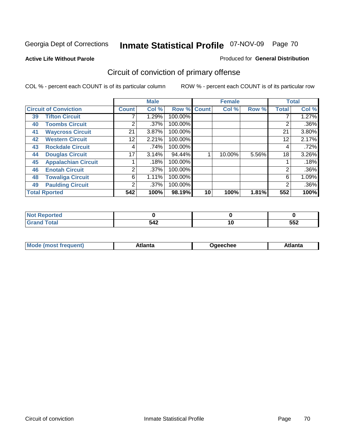#### **Active Life Without Parole**

#### Produced for **General Distribution**

# Circuit of conviction of primary offense

|                              |                            |                | <b>Male</b> |             |    | <b>Female</b> |       |              | <b>Total</b> |
|------------------------------|----------------------------|----------------|-------------|-------------|----|---------------|-------|--------------|--------------|
| <b>Circuit of Conviction</b> |                            | <b>Count</b>   | Col %       | Row % Count |    | Col %         | Row % | <b>Total</b> | Col %        |
| 39                           | <b>Tifton Circuit</b>      |                | 1.29%       | 100.00%     |    |               |       |              | 1.27%        |
| 40                           | <b>Toombs Circuit</b>      | $\overline{2}$ | $.37\%$     | 100.00%     |    |               |       | 2            | $.36\%$      |
| 41                           | <b>Waycross Circuit</b>    | 21             | 3.87%       | 100.00%     |    |               |       | 21           | 3.80%        |
| 42                           | <b>Western Circuit</b>     | 12             | 2.21%       | 100.00%     |    |               |       | 12           | 2.17%        |
| 43                           | <b>Rockdale Circuit</b>    | 4              | .74%        | 100.00%     |    |               |       | 4            | .72%         |
| 44                           | <b>Douglas Circuit</b>     | 17             | 3.14%       | 94.44%      |    | 10.00%        | 5.56% | 18           | 3.26%        |
| 45                           | <b>Appalachian Circuit</b> |                | .18%        | 100.00%     |    |               |       |              | .18%         |
| 46                           | <b>Enotah Circuit</b>      | $\overline{2}$ | $.37\%$     | 100.00%     |    |               |       | 2            | $.36\%$      |
| 48                           | <b>Towaliga Circuit</b>    | 6              | 1.11%       | 100.00%     |    |               |       | 6            | 1.09%        |
| 49                           | <b>Paulding Circuit</b>    | $\overline{2}$ | $.37\%$     | 100.00%     |    |               |       | 2            | $.36\%$      |
|                              | <b>Total Rported</b>       |                | 100%        | 98.19%      | 10 | 100%          | 1.81% | 552          | 100%         |

| тео |     |           |     |
|-----|-----|-----------|-----|
|     | 542 | 1 U<br>__ | 552 |

| <b>Mo</b><br>$\blacksquare$<br>'rer<br>ו ואח | .tlantə | Jaeechee | \tlanta |
|----------------------------------------------|---------|----------|---------|
|----------------------------------------------|---------|----------|---------|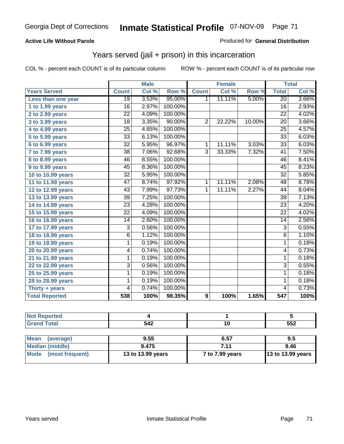### **Active Life Without Parole**

### Produced for **General Distribution**

### Years served (jail + prison) in this incarceration

|                       |                 | <b>Male</b> |         |                | <b>Female</b> |                  |                 | <b>Total</b> |
|-----------------------|-----------------|-------------|---------|----------------|---------------|------------------|-----------------|--------------|
| <b>Years Served</b>   | <b>Count</b>    | Col %       | Row %   | <b>Count</b>   | Col %         | Row <sub>%</sub> | <b>Total</b>    | Col %        |
| Less than one year    | $\overline{19}$ | 3.53%       | 95.00%  | $\mathbf{1}$   | 11.11%        | 5.00%            | $\overline{20}$ | 3.66%        |
| 1 to 1.99 years       | 16              | 2.97%       | 100.00% |                |               |                  | 16              | 2.93%        |
| 2 to 2.99 years       | $\overline{22}$ | 4.09%       | 100.00% |                |               |                  | $\overline{22}$ | 4.02%        |
| 3 to 3.99 years       | 18              | 3.35%       | 90.00%  | $\overline{2}$ | 22.22%        | 10.00%           | 20              | 3.66%        |
| 4 to 4.99 years       | $\overline{25}$ | 4.65%       | 100.00% |                |               |                  | $\overline{25}$ | 4.57%        |
| 5 to 5.99 years       | $\overline{33}$ | 6.13%       | 100.00% |                |               |                  | $\overline{33}$ | 6.03%        |
| 6 to 6.99 years       | $\overline{32}$ | 5.95%       | 96.97%  | $\mathbf{1}$   | 11.11%        | 3.03%            | $\overline{33}$ | 6.03%        |
| 7 to 7.99 years       | $\overline{38}$ | 7.06%       | 92.68%  | $\overline{3}$ | 33.33%        | 7.32%            | $\overline{41}$ | 7.50%        |
| 8 to 8.99 years       | $\overline{46}$ | 8.55%       | 100.00% |                |               |                  | 46              | 8.41%        |
| 9 to 9.99 years       | 45              | 8.36%       | 100.00% |                |               |                  | 45              | 8.23%        |
| 10 to 10.99 years     | $\overline{32}$ | 5.95%       | 100.00% |                |               |                  | $\overline{32}$ | 5.85%        |
| 11 to 11.99 years     | $\overline{47}$ | 8.74%       | 97.92%  | $\mathbf{1}$   | 11.11%        | 2.08%            | $\overline{48}$ | 8.78%        |
| 12 to 12.99 years     | 43              | 7.99%       | 97.73%  | 1              | 11.11%        | 2.27%            | 44              | 8.04%        |
| 13 to 13.99 years     | $\overline{39}$ | 7.25%       | 100.00% |                |               |                  | $\overline{39}$ | 7.13%        |
| 14 to 14.99 years     | $\overline{23}$ | 4.28%       | 100.00% |                |               |                  | $\overline{23}$ | 4.20%        |
| 15 to 15.99 years     | $\overline{22}$ | 4.09%       | 100.00% |                |               |                  | $\overline{22}$ | 4.02%        |
| 16 to 16.99 years     | $\overline{14}$ | 2.60%       | 100.00% |                |               |                  | $\overline{14}$ | 2.56%        |
| 17 to 17.99 years     | $\overline{3}$  | 0.56%       | 100.00% |                |               |                  | $\overline{3}$  | 0.55%        |
| 18 to 18.99 years     | $\overline{6}$  | 1.12%       | 100.00% |                |               |                  | $\overline{6}$  | 1.10%        |
| 19 to 19.99 years     | 1               | 0.19%       | 100.00% |                |               |                  | $\mathbf{1}$    | 0.18%        |
| 20 to 20.99 years     | 4               | 0.74%       | 100.00% |                |               |                  | 4               | 0.73%        |
| 21 to 21.99 years     | 1               | 0.19%       | 100.00% |                |               |                  | 1               | 0.18%        |
| 22 to 22.99 years     | $\overline{3}$  | 0.56%       | 100.00% |                |               |                  | $\overline{3}$  | 0.55%        |
| 25 to 25.99 years     | 1               | 0.19%       | 100.00% |                |               |                  | 1               | 0.18%        |
| 28 to 28.99 years     | 1               | 0.19%       | 100.00% |                |               |                  | $\mathbf{1}$    | 0.18%        |
| Thirty + years        | 4               | 0.74%       | 100.00% |                |               |                  | 4               | 0.73%        |
| <b>Total Reported</b> | 538             | 100%        | 98.35%  | 9              | 100%          | 1.65%            | 547             | 100%         |

| <b>Not Reported</b>            |                   |                 |                   |
|--------------------------------|-------------------|-----------------|-------------------|
| <b>Grand Total</b>             | 542               |                 | 552               |
|                                |                   |                 |                   |
| <b>Mean</b><br>(average)       | 9.55              | 6.57            | 9.5               |
| <b>Median (middle)</b>         | 9.475             | 7.11            | 9.46              |
| (most frequent)<br><b>Mode</b> | 13 to 13.99 years | 7 to 7.99 years | 13 to 13.99 years |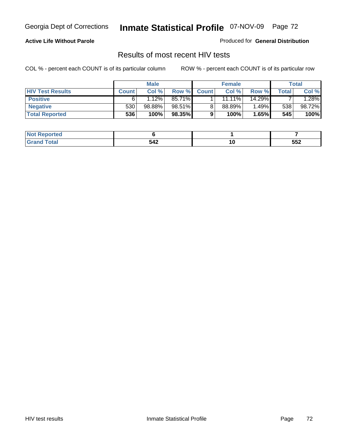### **Active Life Without Parole**

Produced for **General Distribution**

### Results of most recent HIV tests

|                         | <b>Male</b>  |        |        | <b>Female</b> |        |        | Total |         |
|-------------------------|--------------|--------|--------|---------------|--------|--------|-------|---------|
| <b>HIV Test Results</b> | <b>Count</b> | Col %  | Row %  | <b>Count</b>  | Col %  | Row %  | Total | Col %   |
| <b>Positive</b>         | 6            | 1.12%  | 85.71% |               | 11.11% | 14.29% |       | $.28\%$ |
| <b>Negative</b>         | 530          | 98.88% | 98.51% |               | 88.89% | 1.49%  | 538   | 98.72%  |
| <b>Total Reported</b>   | 536          | 100%   | 98.35% |               | 100%   | 1.65%  | 545   | 100%    |

| <b>Not Reported</b> |     |                          |     |
|---------------------|-----|--------------------------|-----|
| <b>Total</b>        | 542 | $\overline{\phantom{a}}$ | 552 |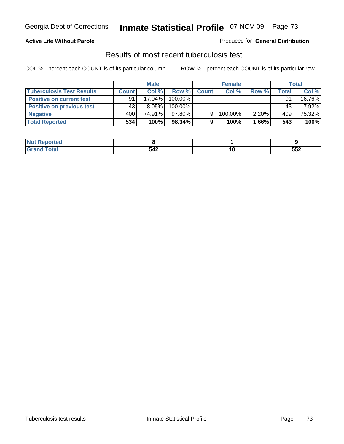#### **Active Life Without Parole**

#### Produced for **General Distribution**

### Results of most recent tuberculosis test

|                                  | <b>Male</b>  |           |         | <b>Female</b> |         |          | Total        |        |
|----------------------------------|--------------|-----------|---------|---------------|---------|----------|--------------|--------|
| <b>Tuberculosis Test Results</b> | <b>Count</b> | Col%      | Row %   | <b>Count</b>  | Col%    | Row %    | <b>Total</b> | Col %  |
| <b>Positive on current test</b>  | 91           | $17.04\%$ | 100.00% |               |         |          | 91           | 16.76% |
| <b>Positive on previous test</b> | 43           | $8.05\%$  | 100.00% |               |         |          | 43           | 7.92%  |
| <b>Negative</b>                  | 400          | 74.91%    | 97.80%  |               | 100.00% | $2.20\%$ | 409          | 75.32% |
| <b>Total Reported</b>            | 534          | 100%      | 98.34%  |               | 100%    | $1.66\%$ | 543          | 100%   |

| Reported     |     |    |     |
|--------------|-----|----|-----|
| <b>Total</b> | 542 | ιı | 552 |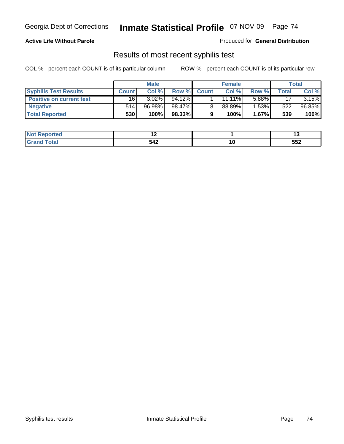#### **Active Life Without Parole**

Produced for **General Distribution**

### Results of most recent syphilis test

|                                 | <b>Male</b>  |          |         | <b>Female</b> |           |          | Total |          |
|---------------------------------|--------------|----------|---------|---------------|-----------|----------|-------|----------|
| <b>Syphilis Test Results</b>    | <b>Count</b> | Col %    | Row %   | <b>Count</b>  | Col %     | Row %    | Total | Col %    |
| <b>Positive on current test</b> | 16           | $3.02\%$ | 94.12%  |               | $11.11\%$ | 5.88%    | 17    | $3.15\%$ |
| <b>Negative</b>                 | 514          | 96.98%   | 98.47%I |               | $88.89\%$ | 1.53%    | 522   | 96.85%   |
| <b>Total Reported</b>           | 530          | 100%     | 98.33%  |               | 100%      | $1.67\%$ | 539   | 100%     |

| <b>Not</b><br>Reported | . . |                          |     |
|------------------------|-----|--------------------------|-----|
| <b>Total</b>           | 542 | $\overline{\phantom{a}}$ | 552 |